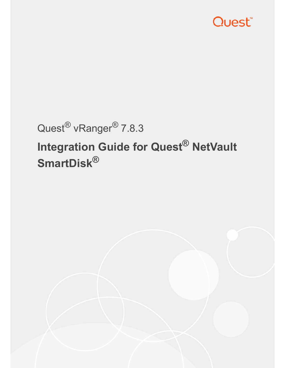

# Quest® vRanger® 7.8.3

# **Integration Guide for Quest® NetVault SmartDisk®**

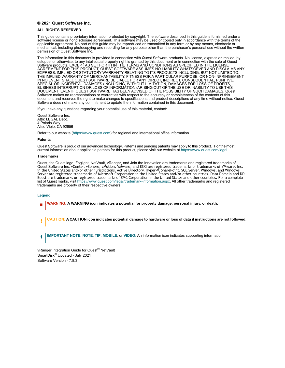#### **© 2021 Quest Software Inc.**

#### **ALL RIGHTS RESERVED.**

This guide contains proprietary information protected by copyright. The software described in this guide is furnished under a software license or nondisclosure agreement. This software may be used or copied only in accordance with the terms of the applicable agreement. No part of this guide may be reproduced or transmitted in any form or by any means, electronic or mechanical, including photocopying and recording for any purpose other than the purchaser's personal use without the written permission of Quest Software Inc.

The information in this document is provided in connection with Quest Software products. No license, express or implied, by estoppel or otherwise, to any intellectual property right is granted by this document or in connection with the sale of Quest Software products. EXCEPT AS SET FORTH IN THE TERMS AND CONDITIONS AS SPECIFIED IN THE LICENSE AGREEMENT FOR THIS PRODUCT, QUEST SOFTWARE ASSUMES NO LIABILITY WHATSOEVER AND DISCLAIMS ANY EXPRESS, IMPLIED OR STATUTORY WARRANTY RELATING TO ITS PRODUCTS INCLUDING, BUT NOT LIMITED TO, THE IMPLIED WARRANTY OF MERCHANTABILITY, FITNESS FOR A PARTICULAR PURPOSE, OR NON-INFRINGEMENT. IN NO EVENT SHALL QUEST SOFTWARE BE LIABLE FOR ANY DIRECT, INDIRECT, CONSEQUENTIAL, PUNITIVE, SPECIAL OR INCIDENTAL DAMAGES (INCLUDING, WITHOUT LIMITATION, DAMAGES FOR LOSS OF PROFITS, BUSINESS INTERRUPTION OR LOSS OF INFORMATION) ARISING OUT OF THE USE OR INABILITY TO USE THIS DOCUMENT, EVEN IF QUEST SOFTWARE HAS BEEN ADVISED OF THE POSSIBILITY OF SUCH DAMAGES. Quest Software makes no representations or warranties with respect to the accuracy or completeness of the contents of this document and reserves the right to make changes to specifications and product descriptions at any time without notice. Quest Software does not make any commitment to update the information contained in this document.

If you have any questions regarding your potential use of this material, contact:

Quest Software Inc. Attn: LEGAL Dept. 4 Polaris Way Aliso Viejo, CA 92656

Refer to our website (https://www.quest.com) for regional and international office information.

#### **Patents**

Quest Software is proud of our advanced technology. Patents and pending patents may apply to this product. For the most<br>current information about applicable patents for this product, please visit our website at https://w

#### **Trademarks**

Quest, the Quest logo, Foglight, NetVault, vRanger, and Join the Innovation are trademarks and registered trademarks of Quest Software Inc. vCenter, vSphere, vMotion, VMware, and ESXi are registered trademarks or trademarks of VMware, Inc. in the United States and/or [other jurisdictions. Active Directory, Hyper-V,](https://www.quest.com/legal/trademark-information.aspx) SharePoint, SQL Server, Windows, and Windows Server are registered trademarks of Microsoft Corporation in the United States and/or other countries. Data Domain and DD Boost are trademarks or registered trademarks of EMC Corporation in the United States and other countries. For a complete list of Quest marks, visit https://www.quest.com/legal/trademark-information.aspx. All other trademarks and registered trademarks are property of their respective owners.

#### **Legend**

**WARNING: A WARNING icon indicates a potential for property damage, personal injury, or death.**

**CAUTION: A CAUTION icon indicates potential damage to hardware or loss of data if instructions are not followed.** ţ

**IMPORTANT NOTE**, **NOTE**, **TIP**, **MOBILE**, or **VIDEO:** An information icon indicates supporting information.÷

vRanger Integration Guide for Quest® NetVault SmartDisk® Updated - July 2021 Software Version - 7.8.3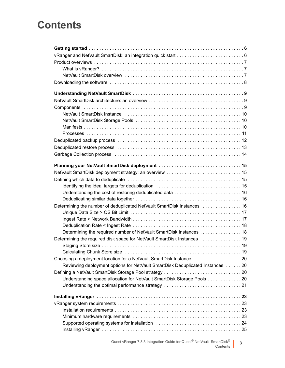## **Contents**

| vRanger and NetVault SmartDisk: an integration quick start  6                                                                                                                                                                  |
|--------------------------------------------------------------------------------------------------------------------------------------------------------------------------------------------------------------------------------|
|                                                                                                                                                                                                                                |
|                                                                                                                                                                                                                                |
|                                                                                                                                                                                                                                |
|                                                                                                                                                                                                                                |
|                                                                                                                                                                                                                                |
|                                                                                                                                                                                                                                |
|                                                                                                                                                                                                                                |
|                                                                                                                                                                                                                                |
|                                                                                                                                                                                                                                |
|                                                                                                                                                                                                                                |
|                                                                                                                                                                                                                                |
|                                                                                                                                                                                                                                |
|                                                                                                                                                                                                                                |
|                                                                                                                                                                                                                                |
|                                                                                                                                                                                                                                |
|                                                                                                                                                                                                                                |
|                                                                                                                                                                                                                                |
|                                                                                                                                                                                                                                |
|                                                                                                                                                                                                                                |
|                                                                                                                                                                                                                                |
| Determining the number of deduplicated NetVault SmartDisk Instances  16                                                                                                                                                        |
|                                                                                                                                                                                                                                |
|                                                                                                                                                                                                                                |
|                                                                                                                                                                                                                                |
| Determining the required number of NetVault SmartDisk Instances 18                                                                                                                                                             |
| Determining the required disk space for NetVault SmartDisk Instances  19                                                                                                                                                       |
|                                                                                                                                                                                                                                |
|                                                                                                                                                                                                                                |
| Choosing a deployment location for a NetVault SmartDisk Instance 20                                                                                                                                                            |
| Reviewing deployment options for NetVault SmartDisk Deduplicated Instances  20                                                                                                                                                 |
|                                                                                                                                                                                                                                |
| Understanding space allocation for NetVault SmartDisk Storage Pools 20                                                                                                                                                         |
|                                                                                                                                                                                                                                |
|                                                                                                                                                                                                                                |
|                                                                                                                                                                                                                                |
|                                                                                                                                                                                                                                |
|                                                                                                                                                                                                                                |
|                                                                                                                                                                                                                                |
| Supported operating systems for installation contained contained and supported operating systems for installation of the subset of the subset of the subset of the subset of the subset of the subset of the subset of the sub |
|                                                                                                                                                                                                                                |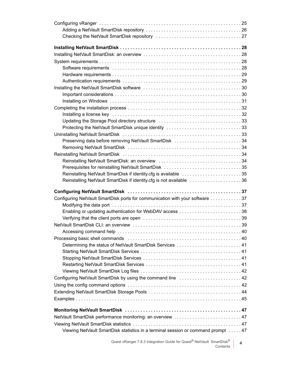| Protecting the NetVault SmartDisk unique identity 33                         |  |
|------------------------------------------------------------------------------|--|
|                                                                              |  |
| Preserving data before removing NetVault SmartDisk 34                        |  |
|                                                                              |  |
|                                                                              |  |
|                                                                              |  |
| Prerequisites for reinstalling NetVault SmartDisk 35                         |  |
| Reinstalling NetVault SmartDisk if identity.cfg is available 35              |  |
|                                                                              |  |
| Reinstalling NetVault SmartDisk if identity.cfg is not available 36          |  |
|                                                                              |  |
|                                                                              |  |
| Configuring NetVault SmartDisk ports for communication with your software 37 |  |
|                                                                              |  |
|                                                                              |  |
|                                                                              |  |
|                                                                              |  |
|                                                                              |  |
|                                                                              |  |
| Determining the status of NetVault SmartDisk Services  41                    |  |
|                                                                              |  |
|                                                                              |  |
|                                                                              |  |
|                                                                              |  |
| Configuring NetVault SmartDisk by using the command line  42                 |  |
|                                                                              |  |
|                                                                              |  |
|                                                                              |  |
|                                                                              |  |
|                                                                              |  |
| NetVault SmartDisk performance monitoring: an overview  47                   |  |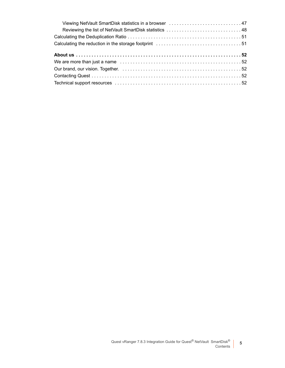| Viewing NetVault SmartDisk statistics in a browser  47  |  |
|---------------------------------------------------------|--|
| Reviewing the list of NetVault SmartDisk statistics  48 |  |
|                                                         |  |
|                                                         |  |
|                                                         |  |
|                                                         |  |
|                                                         |  |
|                                                         |  |
|                                                         |  |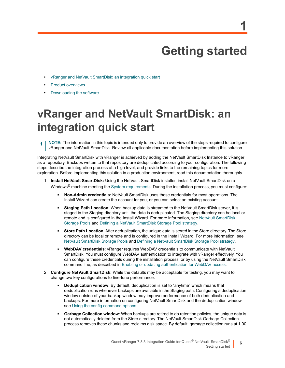# **Getting started**

- **•** [vRanger and NetVa](#page-6-0)ult SmartDisk: an integration quick start
- **•** [Product overviews](#page-7-0)
- <span id="page-5-0"></span>**•** Downloading the software

## **vRanger and NetVault SmartDisk: an integration quick start**

**NOTE:** The information in this topic is intended only to provide an overview of the steps required to configure f vRanger and NetVault SmartDisk. Review all applicable documentation before implementing this solution.

Integrating NetVault SmartDisk with vRanger is achieved by adding the NetVault SmartDisk Instance to vRanger as a repository. Backups written to that repository are deduplicated according to your configuration. The following steps describe the integration process at a high level, and provide links to the remaining topics for more exploration. Before implementing this s[olution in a production](#page-27-4) environment, read this documentation thoroughly.

- 1 **Install NetVault SmartDisk:** Using the NetVault SmartDisk installer, install NetVault SmartDisk on a Windows<sup>®</sup> machine meeting the System requirements. During the installation process, you must configure:
	- **▪ Non-Admin credentials**: NetVault SmartDisk uses these credentials for most operations. The Install Wizard can create the account for you, or you can select an existing account.
	- **▪ Staging Path Location**: When backup data is streamed to the NetVault [SmartDisk server, it is](#page-9-3)  [staged in the S](#page-9-3)tagi[ng directory until the data is deduplicated. The Stagin](#page-19-4)g directory can be local or remote and is configured in the Install Wizard. For more information, see NetVault SmartDisk Storage Pools and Defining a NetVault SmartDisk Storage Pool strategy.
	- **[Store Path Location](#page-9-3):** After deduplicati[on, the unique data is stored in the Store directory. The](#page-19-4) Store directory can be local or remote and is configured in the Install Wizard. For more information, see NetVault SmartDisk Storage Pools and Defining a NetVault SmartDisk Storage Pool strategy.
	- **WebDAV credentials**: vRanger requires WebDAV credentials to communicate with NetVault SmartDisk. You must configure [WebDAV authentication to integrate with vRanger effecti](#page-37-1)vely. You can configure these credentials during the installation process, or by using the NetVault SmartDisk command line, as described in Enabling or updating authentication for WebDAV access.
- 2 **Configure NetVault SmartDisk:** While the defaults may be acceptable for testing, you may want to change two key configurations to fine-tune performance:
	- **▪ Deduplication window**: By default, deduplication is set to "anytime" which means that deduplication runs whenever backups are available in the Staging path. Configuring a deduplication win[dow outside of your backup window](#page-41-3) may improve performance of both deduplication and backups. For more information on configuring NetVault SmartDisk and the deduplication window, see Using the config command options.
	- **Garbage Collection window**: When backups are retired to do retention policies, the unique data is not automatically deleted from the Store directory. The NetVault SmartDisk Garbage Collection process removes these chunks and reclaims disk space. By default, garbage collection runs at 1:00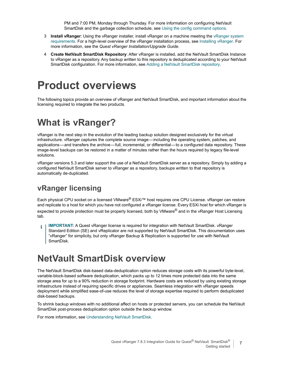PM and 7:00 PM, Monday through Thursday. For more information on configurin[g NetVault](#page-22-3)  [SmartD](#page-22-3)isk and the garbage collection schedule, see Using the config co[mmand options.](#page-24-1)

- 3 **Install vRanger**: Using the vRanger installer, install vRanger on a machine meeting the vRanger system requirements. For a high-level overview of the vRanger installation process, see Installing vRanger. For more information, see the *Quest vRanger Installation/Upgrade Guide*.
- 4 **Create NetVault SmartDisk Repository**: After vRa[nger is installed, add the NetVault Smart](#page-25-0)Disk Instance to vRanger as a repository. Any backup written to this repository is deduplicated according to your NetVault SmartDisk configuration. For more information, see Adding a NetVault SmartDisk repository.

## <span id="page-6-0"></span>**Product overviews**

<span id="page-6-1"></span>The following topics provide an overview of vRanger and NetVault SmartDisk, and important information about the licensing required to integrate the two products.

### **What is vRanger?**

vRanger is the next step in the evolution of the leading backup solution designed exclusively for the virtual infrastructure. vRanger captures the complete source image — including the operating system, patches, and applications — and transfers the archive — full, incremental, or differential — to a configured data repository. These image-level backups can be restored in a matter of minutes rather than the hours required by legacy file-level solutions.

vRanger versions 5.3 and later support the use of a NetVault SmartDisk server as a repository. Simply by adding a configured NetVault SmartDisk server to vRanger as a repository, backups written to that repository is automatically de-duplicated.

#### **vRanger licensing**

Each physical CPU socket on a licensed VMware® ESXi™ host requires one CPU License. vRanger can restore and replicate to a host for which you have not configured a vRanger license. Every ESXi host for which vRanger is expected to provide protection must be properly licensed, both by VMware<sup>®</sup> and in the vRanger Host Licensing tab.

**IMPORTANT:** A Quest vRanger license is required for integration with NetVault SmartDisk. vRanger ÷ Standard Edition (SE) and vReplicator are not supported by NetVault SmartDisk. This documentation uses "vRanger" for simplicity, but only vRanger Backup & Replication is supported for use with NetVault SmartDisk.

### <span id="page-6-2"></span>**NetVault SmartDisk overview**

The NetVault SmartDisk disk-based data-deduplication option reduces storage costs with its powerful byte-level, variable-block-based software deduplication, which packs up to 12 times more protected data into the same storage area for up to a 90% reduction in storage footprint. Hardware costs are reduced by using existing storage infrastructure instead of requiring specific drives or appliances. Seamless integration with vRanger speeds deployment while simplified ease-of-use reduces the level of storage expertise required to perform deduplicated disk-based backups.

To shrink backup windows [with no additional affect on hosts o](#page-8-3)r protected servers, you can schedule the NetVault SmartDisk post-process deduplication option outside the backup window.

For more information, see Understanding NetVault SmartDisk.

**7**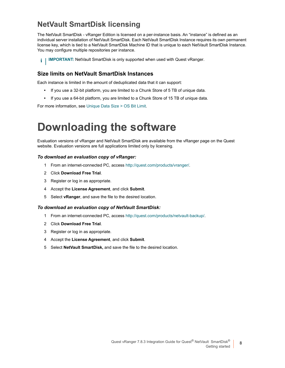#### **NetVault SmartDisk licensing**

The NetVault SmartDisk - vRanger Edition is licensed on a per-instance basis. An "instance" is defined as an individual server installation of NetVault SmartDisk. Each NetVault SmartDisk Instance requires its own permanent license key, which is tied to a NetVault SmartDisk Machine ID that is unique to each NetVault SmartDisk Instance. You may configure multiple repositories per instance.

**IMPORTANT:** NetVault SmartDisk is only supported when used with Quest vRanger.  $\mathbf{i}$ 

#### **Size limits on NetVault SmartDisk Instances**

Each instance is limited in the amount of deduplicated data that it can support:

- **•** If you use a 32-bit platform, you are limited to a Chunk Store of 5 TB of unique data.
- **•** If you use a 64-bit [platform, you are limited to a Chu](#page-16-2)nk Store of 15 TB of unique data.

<span id="page-7-0"></span>For more information, see Unique Data Size > OS Bit Limit.

## **Downloading the software**

Evaluation versions of vRanger and NetVault SmartDisk are available from the vRanger page on the Quest website. Evaluation versions are full applications limited only by licensing.

#### *To download an evaluation copy of vRa[nger:](http://quest.com/products/vranger/)*

- 1 From an internet-connected PC, access http://quest.com/products/vranger/.
- 2 Click **Download Free Trial**.
- 3 Register or log in as appropriate.
- 4 Accept the **License Agreement**, and click **Submit**.
- 5 Select **vRanger**, and save the file to the desired location.

#### *To download an evaluation copy of Net[Vault SmartDisk:](http://quest.com/products/netvault-backup/)*

- 1 From an internet-connected PC, access http://quest.com/products/netvault-backup/.
- 2 Click **Download Free Trial**.
- 3 Register or log in as appropriate.
- 4 Accept the **License Agreement**, and click **Submit**.
- 5 Select **NetVault SmartDisk,** and save the file to the desired location.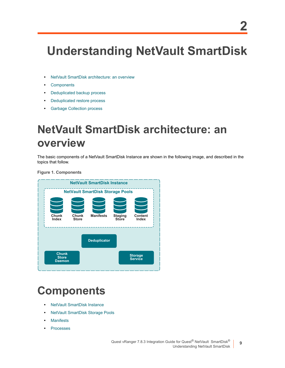# <span id="page-8-3"></span><span id="page-8-0"></span>**Understanding NetVault SmartDisk**

- **•** [NetVault Sma](#page-8-2)rtDisk architecture: an overview
- **•** [Components](#page-11-0)
- **•** [Deduplicated backup process](#page-12-0)
- **•** [Deduplicated restore proces](#page-13-0)s
- <span id="page-8-1"></span>**•** Garbage Collection process

## **NetVault SmartDisk architecture: an overview**

The basic components of a NetVault SmartDisk Instance are shown in the following image, and described in the topics that follow.

**Figure 1. Components**



## <span id="page-8-2"></span>**C[omponents](#page-9-0)**

- **•** [NetVault SmartDisk Instance](#page-9-1)
- **•** [NetVault S](#page-9-2)martDisk Storage Pools
- **•** [Manifests](#page-10-0)
- **•** Processes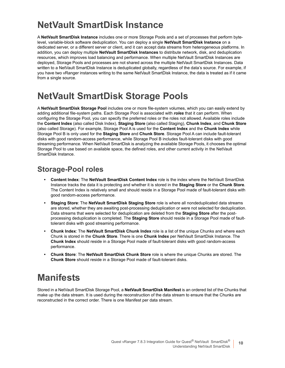## <span id="page-9-0"></span>**NetVault SmartDisk Instance**

A **NetVault SmartDisk Instance** includes one or more Storage Pools and a set of processes that perform bytelevel, variable-block software deduplication. You can deploy a single **NetVault SmartDisk Instance** on a dedicated server, or a different server or client, and it can accept data streams from heterogeneous platforms. In addition, you can deploy multiple **NetVault SmartDisk Instances** to distribute network, disk, and deduplication resources, which improves load balancing and performance. When multiple NetVault SmartDisk Instances are deployed, Storage Pools and processes are not shared across the multiple NetVault SmartDisk Instances. Data written to a NetVault SmartDisk Instance is deduplicated globally, regardless of the data's source. For example, if you have two vRanger instances writing to the same NetVault SmartDisk Instance, the data is treated as if it came from a single source.

### <span id="page-9-3"></span><span id="page-9-1"></span>**NetVault SmartDisk Storage Pools**

A **NetVault SmartDisk Storage Pool** includes one or more file-system volumes, which you can easily extend by adding additional file-system paths. Each Storage Pool is associated with *roles* that it can perform. When configuring the Storage Pool, you can specify the preferred roles or the roles not allowed. Available roles include the **Content Index** (also called Disk Index), **Staging Store** (also called Staging), **Chunk Index**, and **Chunk Store** (also called Storage). For example, Storage Pool A is used for the **Content Index** and the **Chunk Index** while Storage Pool B is only used for the **Staging Store** and **Chunk Store**. Storage Pool A can include fault-tolerant disks with good random-access performance, while Storage Pool B includes fault-tolerant disks with good streaming performance. When NetVault SmartDisk is analyzing the available Storage Pools, it chooses the optimal Storage Pool to use based on available space, the defined roles, and other current activity in the NetVault SmartDisk Instance.

#### **Storage-Pool roles**

- **Content Index**: The **NetVault SmartDisk Content Index** role is the index where the NetVault SmartDisk Instance tracks the data it is protecting and whether it is stored in the **Staging Store** or the **Chunk Store**. The Content Index is relatively small and should reside in a Storage Pool made of fault-tolerant disks with good random-access performance.
- **Staging Store**: The **NetVault SmartDisk Staging Store** role is where all nondeduplicated data streams are stored, whether they are awaiting post-processing deduplication or were not selected for deduplication. Data streams that were selected for deduplication are deleted from the **Staging Store** after the postprocessing deduplication is completed. The **Staging Store** should reside in a Storage Pool made of faulttolerant disks with good streaming performance.
- **Chunk Index**: The **NetVault SmartDisk Chunk Index** role is a list of the unique Chunks and where each Chunk is stored in the **Chunk Store**. There is one **Chunk Index** per NetVault SmartDisk Instance. The **Chunk Index** should reside in a Storage Pool made of fault-tolerant disks with good random-access performance.
- **Chunk Store**: The **NetVault SmartDisk Chunk Store** role is where the unique Chunks are stored. The **Chunk Store** should reside in a Storage Pool made of fault-tolerant disks.

### <span id="page-9-2"></span>**Manifests**

Stored in a NetVault SmartDisk Storage Pool, a **NetVault SmartDisk Manifest** is an ordered list of the Chunks that make up the data stream. It is used during the reconstruction of the data stream to ensure that the Chunks are reconstructed in the correct order. There is one Manifest per data stream.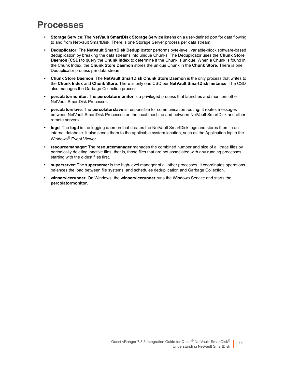### <span id="page-10-0"></span>**Processes**

- **Storage Service**: The **NetVault SmartDisk Storage Service** listens on a user-defined port for data flowing to and from NetVault SmartDisk. There is one Storage Server process per data stream.
- **Deduplicator**: The **NetVault SmartDisk Deduplicator** performs byte-level, variable-block software-based deduplication by breaking the data streams into unique Chunks. The Deduplicator uses the **Chunk Store Daemon (CSD)** to query the **Chunk Index** to determine if the Chunk is unique. When a Chunk is found in the Chunk Index, the **Chunk Store Daemon** stores the unique Chunk in the **Chunk Store**. There is one Deduplicator process per data stream.
- **Chunk Store Daemon**: The **NetVault SmartDisk Chunk Store Daemon** is the only process that writes to the **Chunk Index** and **Chunk Store**. There is only one CSD per **NetVault SmartDisk Instance**. The CSD also manages the Garbage Collection process.
- **percolatormonitor**: The **percolatormonitor** is a privileged process that launches and monitors other NetVault SmartDisk Processes.
- **percolatorslave**: The **percolatorslave** is responsible for communication routing. It routes messages between NetVault SmartDisk Processes on the local machine and between NetVault SmartDisk and other remote servers.
- **logd**: The **logd** is the logging daemon that creates the NetVault SmartDisk logs and stores them in an internal database. It also sends them to the applicable system location, such as the Application log in the Windows® Event Viewer.
- **resourcemanager**: The **resourcemanager** manages the combined number and size of all trace files by periodically deleting inactive files, that is, those files that are not associated with any running processes, starting with the oldest files first.
- **superserver**: The **superserver** is the high-level manager of all other processes. It coordinates operations, balances the load between file systems, and schedules deduplication and Garbage Collection.
- **winservicerunner**: On Windows, the **winservicerunner** runs the Windows Service and starts the **percolatormonitor**.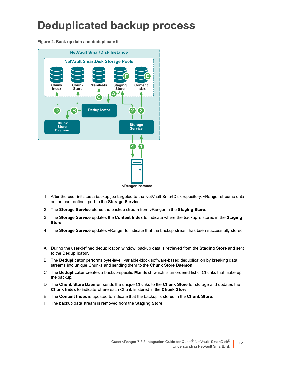## <span id="page-11-0"></span>**Deduplicated backup process**

**Figure 2. Back up data and deduplicate it**



- 1 After the user initiates a backup job targeted to the NetVault SmartDisk repository, vRanger streams data on the user-defined port to the **Storage Service**.
- 2 The **Storage Service** stores the backup stream from vRanger in the **Staging Store**.
- 3 The **Storage Service** updates the **Content Index** to indicate where the backup is stored in the **Staging Store**.
- 4 The **Storage Service** updates vRanger to indicate that the backup stream has been successfully stored.
- A During the user-defined deduplication window, backup data is retrieved from the **Staging Store** and sent to the **Deduplicator**.
- B The **Deduplicator** performs byte-level, variable-block software-based deduplication by breaking data streams into unique Chunks and sending them to the **Chunk Store Daemon**.
- C The **Deduplicator** creates a backup-specific **Manifest**, which is an ordered list of Chunks that make up the backup.
- D The **Chunk Store Daemon** sends the unique Chunks to the **Chunk Store** for storage and updates the **Chunk Index** to indicate where each Chunk is stored in the **Chunk Store**.
- E The **Content Index** is updated to indicate that the backup is stored in the **Chunk Store**.
- F The backup data stream is removed from the **Staging Store**.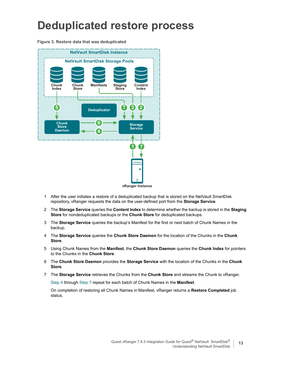## <span id="page-12-0"></span>**Deduplicated restore process**

**Figure 3. Restore data that was deduplicated**



- 1 After the user initiates a restore of a deduplicated backup that is stored on the NetVault SmartDisk repository, vRanger requests the data on the user-defined port from the **Storage Service**.
- 2 The **Storage Service** queries the **Content Index** to determine whether the backup is stored in the **Staging Store** for nondeduplicated backups or the **Chunk Store** for deduplicated backups.
- <span id="page-12-1"></span>3 The **Storage Service** queries the backup's Manifest for the first or next batch of Chunk Names in the backup.
- 4 The **Storage Service** queries the **Chunk Store Daemon** for the location of the Chunks in the **Chunk Store**.
- 5 Using Chunk Names from the **Manifest**, the **Chunk Store Daemon** queries the **Chunk Index** for pointers to the Chunks in the **Chunk Store**.
- <span id="page-12-2"></span>6 The **Chunk Store Daemon** provides the **Storage Service** with the location of the Chunks in the **Chunk Store**.
- 7 [The](#page-12-1) **Storage S[ervice](#page-12-2)** retrieves the Chunks from the **Chunk Store** and streams the Chunk to vRanger.

Step 4 through Step 7 repeat for each batch of Chunk Names in the **Manifest**.

On completion of restoring all Chunk Names in Manifest, vRanger returns a **Restore Completed** job status.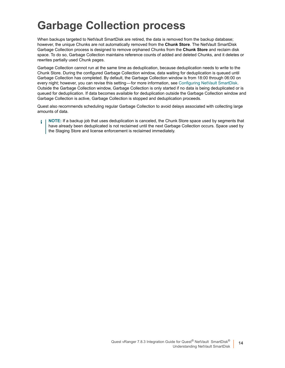## <span id="page-13-0"></span>**Garbage Collection process**

When backups targeted to NetVault SmartDisk are retired, the data is removed from the backup database; however, the unique Chunks are not automatically removed from the **Chunk Store**. The NetVault SmartDisk Garbage Collection process is designed to remove orphaned Chunks from the **Chunk Store** and reclaim disk space. To do so, Garbage Collection maintains reference counts of added and deleted Chunks, and it deletes or rewrites partially used Chunk pages.

Garbage Collection cannot run at the same time as deduplication, because deduplication needs to write to the Chunk Store. During the configured Garbage Collection window, data waitin[g for deduplication is queued unt](#page-36-3)il Garbage Collection has completed. By default, the Garbage Collection window is from 18:00 through 06:00 on every night; however, you can revise this setting — for more information, see Configuring NetVault SmartDisk. Outside the Garbage Collection window, Garbage Collection is only started if no data is being deduplicated or is queued for deduplication. If data becomes available for deduplication outside the Garbage Collection window and Garbage Collection is active, Garbage Collection is stopped and deduplication proceeds.

Quest also recommends scheduling regular Garbage Collection to avoid delays associated with collecting large amounts of data.

**NOTE:** If a backup job that uses deduplication is canceled, the Chunk Store space used by segments that  $\ddot{\bullet}$ have already been deduplicated is not reclaimed until the next Garbage Collection occurs. Space used by the Staging Store and license enforcement is reclaimed immediately.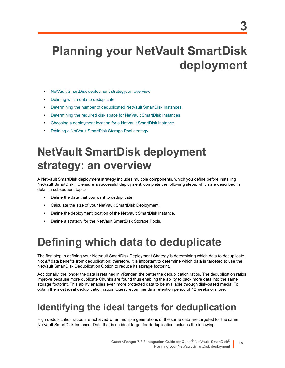# <span id="page-14-0"></span>**Planning your NetVault SmartDisk deployment**

- **•** [NetVault SmartDisk deployment str](#page-14-2)ategy: an overview
- **•** [Defining which data to deduplicate](#page-15-2)
- **•** [Determining the number of deduplicated NetVault SmartDisk Instances](#page-18-0)
- **•** [Determining the required disk space for NetVault SmartDisk Instanc](#page-19-0)es
- **•** [Choosing a deployment location for a NetVault Smart](#page-19-2)Disk Instance
- <span id="page-14-1"></span>**•** Defining a NetVault SmartDisk Storage Pool strategy

## **NetVault SmartDisk deployment strategy: an overview**

A NetVault SmartDisk deployment strategy includes multiple components, which you define before installing NetVault SmartDisk. To ensure a successful deployment, complete the following steps, which are described in detail in subsequent topics:

- **•** Define the data that you want to deduplicate.
- **•** Calculate the size of your NetVault SmartDisk Deployment.
- **•** Define the deployment location of the NetVault SmartDisk Instance.
- <span id="page-14-2"></span>**•** Define a strategy for the NetVault SmartDisk Storage Pools.

## **Defining which data to deduplicate**

The first step in defining your NetVault SmartDisk Deployment Strategy is determining which data to deduplicate. Not *all* data benefits from deduplication; therefore, it is important to determine which data is targeted to use the NetVault SmartDisk Deduplication Option to reduce its storage footprint.

Additionally, the longer the data is retained in vRanger, the better the deduplication ratios. The deduplication ratios improve because more duplicate Chunks are found thus enabling the ability to pack more data into the same storage footprint. This ability enables even more protected data to be available through disk-based media. To obtain the most ideal deduplication ratios, Quest recommends a retention period of 12 weeks or more.

### <span id="page-14-3"></span>**Identifying the ideal targets for deduplication**

High deduplication ratios are achieved when multiple generations of the same data are targeted for the same NetVault SmartDisk Instance. Data that is an ideal target for deduplication includes the following:

**15**

**3**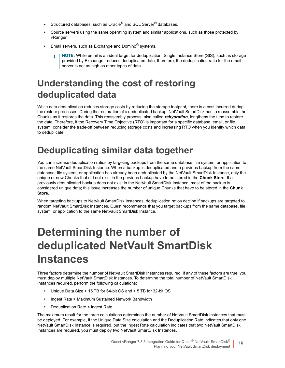- **•** Structured databases, such as Oracle® and SQL Server® databases.
- **•** Source servers using the same operating system and similar applications, such as those protected by vRanger.
- **•** Email servers, such as Exchange and Domino® systems.
	- **NOTE:** While email is an ideal target for deduplication, Single Instance Store (SIS), such as storage provided by Exchange, reduces deduplicated data; therefore, the deduplication ratio for the email server is not as high as other types of data.

### <span id="page-15-0"></span>**Understanding the cost of restoring deduplicated data**

While data deduplication reduces storage costs by reducing the storage footprint, there is a cost incurred during the restore processes. During the restoration of a deduplicated backup, NetVault SmartDisk has to reassemble the Chunks as it restores the data. This reassembly process, also called *rehydration*, lengthens the time to restore the data. Therefore, if the Recovery Time Objective (RTO) is important for a specific database, email, or file system, consider the trade-off between reducing storage costs and increasing RTO when you identify which data to deduplicate.

## <span id="page-15-1"></span>**Deduplicating similar data together**

You can increase deduplication ratios by targeting backups from the same database, file system, or application to the same NetVault SmartDisk Instance. When a backup is deduplicated and a previous backup from the same database, file system, or application has already been deduplicated by the NetVault SmartDisk Instance, only the unique or new Chunks that did not exist in the previous backup have to be stored in the **Chunk Store**. If a previously deduplicated backup does not exist in the NetVault SmartDisk Instance, most of the backup is considered unique data; this issue increases the number of unique Chunks that have to be stored in the **Chunk Store**.

When targeting backups to NetVault SmartDisk Instances, deduplication ratios decline if backups are targeted to random NetVault SmartDisk Instances. Quest recommends that you target backups from the same database, file system, or application to the same NetVault SmartDisk Instance.

## <span id="page-15-2"></span>**Determining the number of deduplicated NetVault SmartDisk Instances**

Three factors determine the number of NetVault SmartDisk Instances required. If any of these factors are true, you must deploy multiple NetVault SmartDisk Instances. To determine the total number of NetVault SmartDisk Instances required, perform the following calculations:

- **•** Unique Data Size > 15 TB for 64-bit OS and > 5 TB for 32-bit OS
- **•** Ingest Rate > Maximum Sustained Network Bandwidth
- **•** Deduplication Rate < Ingest Rate

The maximum result for the three calculations determines the number of NetVault SmartDisk Instances that must be deployed. For example, if the Unique Data Size calculation and the Deduplication Rate indicates that only one NetVault SmartDisk Instance is required, but the Ingest Rate calculation indicates that two NetVault SmartDisk Instances are required, you must deploy two NetVault SmartDisk Instances.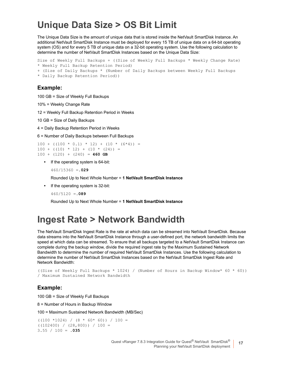### <span id="page-16-2"></span><span id="page-16-0"></span>**Unique Data Size > OS Bit Limit**

The Unique Data Size is the amount of unique data that is stored inside the NetVault SmartDisk Instance. An additional NetVault SmartDisk Instance must be deployed for every 15 TB of unique data on a 64-bit operating system (OS) and for every 5 TB of unique data on a 32-bit operating system. Use the following calculation to determine the number of NetVault SmartDisk Instances based on the Unique Data Size:

```
Size of Weekly Full Backups + ((Size of Weekly Full Backups * Weekly Change Rate)
* Weekly Full Backup Retention Period)
```

```
+ (Size of Daily Backups * (Number of Daily Backups between Weekly Full Backups
```

```
* Daily Backup Retention Period))
```
#### **Example:**

100 GB = Size of Weekly Full Backups

```
10% = Weekly Change Rate
```
12 = Weekly Full Backup Retention Period in Weeks

```
10 GB = Size of Daily Backups
```
4 = Daily Backup Retention Period in Weeks

6 = Number of Daily Backups between Full Backups

 $100 + (100 * 0.1) * 12) + (10 * (6 * 4)) =$  $100 + (10) * 12 + (10 * (24)) =$ 100 + (120) + (240) = **460 GB**

**•** If the operating system is 64-bit:

460/15360 =**.029**

Rounded Up to Next Whole Number = **1 NetVault SmartDisk Instance**

**•** If the operating system is 32-bit:

460/5120 =**.089**

Rounded Up to Next Whole Number = **1 NetVault SmartDisk Instance**

### <span id="page-16-1"></span>**Ingest Rate > Network Bandwidth**

The NetVault SmartDisk Ingest Rate is the rate at which data can be streamed into NetVault SmartDisk. Because data streams into the NetVault SmartDisk Instance through a user-defined port, the network bandwidth limits the speed at which data can be streamed. To ensure that all backups targeted to a NetVault SmartDisk Instance can complete during the backup window, divide the required ingest rate by the Maximum Sustained Network Bandwidth to determine the number of required NetVault SmartDisk Instances. Use the following calculation to determine the number of NetVault SmartDisk Instances based on the NetVault SmartDisk Ingest Rate and Network Bandwidth:

```
((Size of Weekly Full Backups * 1024) / (Number of Hours in Backup Window* 60 * 60))
/ Maximum Sustained Network Bandwidth
```
#### **Example:**

100 GB = Size of Weekly Full Backups

8 = Number of Hours in Backup Window

100 = Maximum Sustained Network Bandwidth (MB/Sec)

 $((100 *1024) / (8 * 60 * 60)) / 100 =$  $((102400) / (28,800)) / 100 =$ 3.55 / 100 = **.035**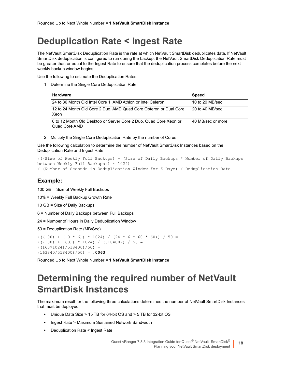## <span id="page-17-2"></span><span id="page-17-0"></span>**Deduplication Rate < Ingest Rate**

The NetVault SmartDisk Deduplication Rate is the rate at which NetVault SmartDisk deduplicates data. If NetVault SmartDisk deduplication is configured to run during the backup, the NetVault SmartDisk Deduplication Rate must be greater than or equal to the Ingest Rate to ensure that the deduplication process completes before the next weekly backup window begins.

Use the following to estimate the Deduplication Rates:

1 Determine the Single Core Deduplication Rate:

| <b>Hardware</b>                                                                    | <b>Speed</b>      |
|------------------------------------------------------------------------------------|-------------------|
| 24 to 36 Month Old Intel Core 1, AMD Athlon or Intel Celeron                       | 10 to 20 MB/sec   |
| 12 to 24 Month Old Core 2 Duo, AMD Quad Core Opteron or Dual Core<br>Xeon          | 20 to 40 MB/sec   |
| 0 to 12 Month Old Desktop or Server Core 2 Duo, Quad Core Xeon or<br>Quad Core AMD | 40 MB/sec or more |

2 Multiply the Single Core Deduplication Rate by the number of Cores.

Use the following calculation to determine the number of NetVault SmartDisk Instances based on the Deduplication Rate and Ingest Rate:

```
(((Size of Weekly Full Backups) + (Size of Daily Backups * Number of Daily Backups 
between Weekly Full Backups)) * 1024)
/ (Number of Seconds in Deduplication Window for 6 Days) / Deduplication Rate
```
#### **Example:**

100 GB = Size of Weekly Full Backups

10% = Weekly Full Backup Growth Rate

10 GB = Size of Daily Backups

6 = Number of Daily Backups between Full Backups

24 = Number of Hours in Daily Deduplication Window

50 = Deduplication Rate (MB/Sec)

```
((100) + (10 * 6)) * 1024) / (24 * 6 * 60 * 60) / 50 =(((100) + (60)) * 1024) / (518400) / 50 =((160*1024)/518400)/50) =(163840/518400)/50) = .0063
```
Rounded Up to Next Whole Number = **1 NetVault SmartDisk Instance**

### <span id="page-17-1"></span>**Determining the required number of NetVault SmartDisk Instances**

The maximum result for the following three calculations determines the number of NetVault SmartDisk Instances that must be deployed:

- **•** Unique Data Size > 15 TB for 64-bit OS and > 5 TB for 32-bit OS
- **•** Ingest Rate > Maximum Sustained Network Bandwidth
- **•** Deduplication Rate < Ingest Rate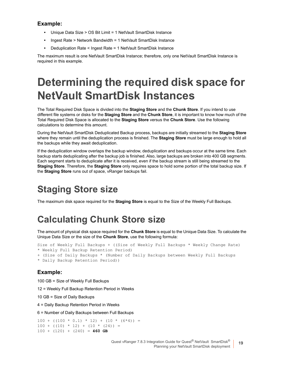#### **Example:**

- **•** Unique Data Size > OS Bit Limit = 1 NetVault SmartDisk Instance
- **•** Ingest Rate > Network Bandwidth = 1 NetVault SmartDisk Instance
- **•** Deduplication Rate < Ingest Rate = 1 NetVault SmartDisk Instance

The maximum result is one NetVault SmartDisk Instance; therefore, only one NetVault SmartDisk Instance is required in this example.

## <span id="page-18-3"></span><span id="page-18-0"></span>**Determining the required disk space for NetVault SmartDisk Instances**

The Total Required Disk Space is divided into the **Staging Store** and the **Chunk Store**. If you intend to use different file systems or disks for the **Staging Store** and the **Chunk Store**, it is important to know how much of the Total Required Disk Space is allocated to the **Staging Store** versus the **Chunk Store**. Use the following calculations to determine this amount.

During the NetVault SmartDisk Deduplicated Backup process, backups are initially streamed to the **Staging Store** where they remain until the deduplication process is finished. The **Staging Store** must be large enough to hold all the backups while they await deduplication.

If the deduplication window overlaps the backup window, deduplication and backups occur at the same time. Each backup starts deduplicating after the backup job is finished. Also, large backups are broken into 400 GB segments. Each segment starts to deduplicate after it is received, even if the backup stream is still being streamed to the **Staging Store**. Therefore, the **Staging Store** only requires space to hold some portion of the total backup size. If the **Staging Store** runs out of space, vRanger backups fail.

## <span id="page-18-1"></span>**Staging Store size**

The maximum disk space required for the **Staging Store** is equal to the Size of the Weekly Full Backups.

### <span id="page-18-2"></span>**Calculating Chunk Store size**

The amount of physical disk space required for the **Chunk Store** is equal to the Unique Data Size. To calculate the Unique Data Size or the size of the **Chunk Store**, use the following formula:

```
Size of Weekly Full Backups + ((Size of Weekly Full Backups * Weekly Change Rate)
* Weekly Full Backup Retention Period)
```

```
+ (Size of Daily Backups * (Number of Daily Backups between Weekly Full Backups
```

```
* Daily Backup Retention Period))
```
#### **Example:**

100 GB = Size of Weekly Full Backups

12 = Weekly Full Backup Retention Period in Weeks

10 GB = Size of Daily Backups

4 = Daily Backup Retention Period in Weeks

6 = Number of Daily Backups between Full Backups

```
100 + (100 * 0.1) * 12) + (10 * (6 * 4)) =100 + (10) * 12 + (10 * (24)) =100 + (120) + (240) = 460 GB
```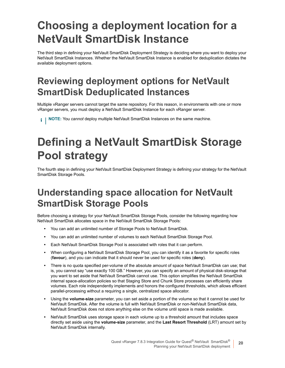# <span id="page-19-0"></span>**Choosing a deployment location for a NetVault SmartDisk Instance**

The third step in defining your NetVault SmartDisk Deployment Strategy is deciding where you want to deploy your NetVault SmartDisk Instances. Whether the NetVault SmartDisk Instance is enabled for deduplication dictates the available deployment options.

## <span id="page-19-1"></span>**Reviewing deployment options for NetVault SmartDisk Deduplicated Instances**

Multiple vRanger servers cannot target the same repository. For this reason, in environments with one or more vRanger servers, you must deploy a NetVault SmartDisk Instance for each vRanger server.

**NOTE:** You *cannot* deploy multiple NetVault SmartDisk Instances on the same machine.

# <span id="page-19-4"></span><span id="page-19-2"></span>**Defining a NetVault SmartDisk Storage Pool strategy**

The fourth step in defining your NetVault SmartDisk Deployment Strategy is defining your strategy for the NetVault SmartDisk Storage Pools.

## <span id="page-19-3"></span>**Understanding space allocation for NetVault SmartDisk Storage Pools**

Before choosing a strategy for your NetVault SmartDisk Storage Pools, consider the following regarding how NetVault SmartDisk allocates space in the NetVault SmartDisk Storage Pools:

- **•** You can add an unlimited number of Storage Pools to NetVault SmartDisk.
- **•** You can add an unlimited number of volumes to each NetVault SmartDisk Storage Pool.
- **•** Each NetVault SmartDisk Storage Pool is associated with roles that it can perform.
- **•** When configuring a NetVault SmartDisk Storage Pool, you can identify it as a favorite for specific roles (**favour**), and you can indicate that it should never be used for specific roles (**deny**).
- **•** There is no quota specified per-volume of the absolute amount of space NetVault SmartDisk can use; that is, you cannot say "use exactly 100 GB." However, you can specify an amount of physical disk-storage that you want to set aside that NetVault SmartDisk cannot use. This option simplifies the NetVault SmartDisk internal space-allocation policies so that Staging Store and Chunk Store processes can efficiently share volumes. Each role independently implements and honors the configured thresholds, which allows efficient parallel-processing without a requiring a single, centralized space allocator.
- **•** Using the **volume-size** parameter, you can set aside a portion of the volume so that it cannot be used for NetVault SmartDisk. After the volume is full with NetVault SmartDisk or non-NetVault SmartDisk data, NetVault SmartDisk does not store anything else on the volume until space is made available.
- **•** NetVault SmartDisk uses storage space in each volume up to a threshold amount that includes space directly set aside using the **volume-size** parameter, and the **Last Resort Threshold** (LRT) amount set by NetVault SmartDisk internally.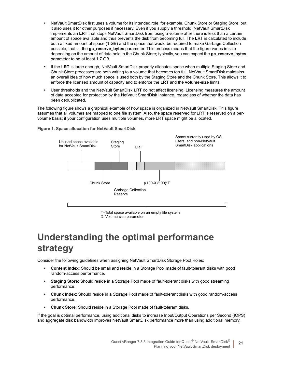- **•** NetVault SmartDisk first uses a volume for its intended role, for example, Chunk Store or Staging Store, but it also uses it for other purposes if necessary. Even if you supply a threshold, NetVault SmartDisk implements an **LRT** that stops NetVault SmartDisk from using a volume after there is less than a certain amount of space available and thus prevents the disk from becoming full. The **LRT** is calculated to include both a fixed amount of space (1 GB) and the space that would be required to make Garbage Collection possible, that is, the **gc\_reserve\_bytes** parameter. This process means that the figure varies in size depending on the amount of data held in the Chunk Store; typically, you can expect the **gc\_reserve\_bytes** parameter to be at least 1.7 GB.
- **•** If the **LRT** is large enough, NetVault SmartDisk properly allocates space when multiple Staging Store and Chunk Store processes are both writing to a volume that becomes too full. NetVault SmartDisk maintains an overall idea of how much space is used both by the Staging Store and the Chunk Store. This allows it to enforce the licensed amount of capacity and to enforce the **LRT** and the **volume-size** limits.
- **•** User thresholds and the NetVault SmartDisk **LRT** do not affect licensing. Licensing measures the amount of data accepted for protection by the NetVault SmartDisk Instance, regardless of whether the data has been deduplicated.

The following figure shows a graphical example of how space is organized in NetVault SmartDisk. This figure assumes that all volumes are mapped to one file system. Also, the space reserved for LRT is reserved on a pervolume basis; if your configuration uses multiple volumes, more LRT space might be allocated.



**Figure 1. Space allocation for NetVault SmartDisk**

X=Volume-size parameter

## <span id="page-20-0"></span>**Understanding the optimal performance strategy**

Consider the following guidelines when assigning NetVault SmartDisk Storage Pool Roles:

- **Content Index**: Should be small and reside in a Storage Pool made of fault-tolerant disks with good random-access performance.
- **Staging Store**: Should reside in a Storage Pool made of fault-tolerant disks with good streaming performance.
- **Chunk Index**: Should reside in a Storage Pool made of fault-tolerant disks with good random-access performance.
- **Chunk Store**: Should reside in a Storage Pool made of fault-tolerant disks.

If the goal is optimal performance, using additional disks to increase Input/Output Operations per Second (IOPS) and aggregate disk bandwidth improves NetVault SmartDisk performance more than using additional memory.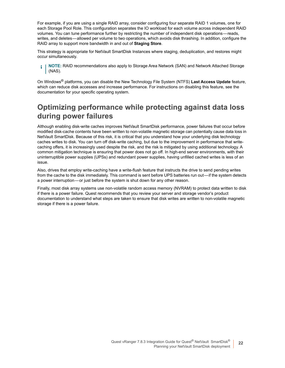For example, if you are using a single RAID array, consider configuring four separate RAID 1 volumes, one for each Storage Pool Role. This configuration separates the IO workload for each volume across independent RAID volumes. You can tune performance further by restricting the number of independent disk operations — reads, writes, and deletes — allowed per volume to two operations, which avoids disk thrashing. In addition, configure the RAID array to support more bandwidth in and out of **Staging Store**.

This strategy is appropriate for NetVault SmartDisk Instances where staging, deduplication, and restores might occur simultaneously.

**NOTE:** RAID recommendations also apply to Storage Area Network (SAN) and Network Attached Storage  $\ddot{\mathbf{r}}$ (NAS).

On Windows® platforms, you can disable the New Technology File System (NTFS) **Last Access Update** feature, which can reduce disk accesses and increase performance. For instructions on disabling this feature, see the documentation for your specific operating system.

#### **Optimizing performance while protecting against data loss during power failures**

Although enabling disk-write caches improves NetVault SmartDisk performance, power failures that occur before modified disk-cache contents have been written to non-volatile magnetic storage can potentially cause data loss in NetVault SmartDisk. Because of this risk, it is critical that you understand how your underlying disk technology caches writes to disk. You can turn off disk-write caching, but due to the improvement in performance that writecaching offers, it is increasingly used despite the risk, and the risk is mitigated by using additional technology. A common mitigation technique is ensuring that power does not go off. In high-end server environments, with their uninterruptible power supplies (UPSs) and redundant power supplies, having unfilled cached writes is less of an issue.

Also, drives that employ write-caching have a write-flush feature that instructs the drive to send pending writes from the cache to the disk immediately. This command is sent before UPS batteries run out—if the system detects a power interruption — or just before the system is shut down for any other reason.

Finally, most disk array systems use non-volatile random access memory (NVRAM) to protect data written to disk if there is a power failure. Quest recommends that you review your server and storage vendor's product documentation to understand what steps are taken to ensure that disk writes are written to non-volatile magnetic storage if there is a power failure.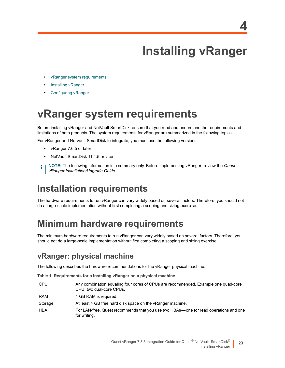# **Installing vRanger**

- <span id="page-22-0"></span>**•** [vRanger system re](#page-24-0)quirements
- **•** [Installing vRanger](#page-24-2)
- <span id="page-22-3"></span><span id="page-22-1"></span>**•** Configuring vRanger

## **vRanger system requirements**

Before installing vRanger and NetVault SmartDisk, ensure that you read and understand the requirements and limitations of both products. The system requirements for vRanger are summarized in the following topics.

For vRanger and NetVault SmartDisk to integrate, you must use the following versions:

- **•** vRanger 7.6.5 or later
- **•** NetVault SmartDisk 11.4.5 or later
- <span id="page-22-2"></span>**NOTE:** The following information is a summary only. Before implementing vRanger, review the *Quest*  ÷ *vRanger Installation/Upgrade Guide*.

## **Installation requirements**

The hardware requirements to run vRanger can vary widely based on several factors. Therefore, you should not do a large-scale implementation without first completing a scoping and sizing exercise.

## **Minimum hardware requirements**

The minimum hardware requirements to run vRanger can vary widely based on several factors. Therefore, you should not do a large-scale implementation without first completing a scoping and sizing exercise.

#### **vRanger: physical machine**

The following describes the hardware recommendations for the vRanger physical machine:

**Table 1. Requirements for a installing vRanger on a physical machine**

| <b>CPU</b> | Any combination equaling four cores of CPUs are recommended. Example one quad-core<br>CPU; two dual-core CPUs. |
|------------|----------------------------------------------------------------------------------------------------------------|
| <b>RAM</b> | 4 GB RAM is required.                                                                                          |
| Storage    | At least 4 GB free hard disk space on the vRanger machine.                                                     |
| <b>HBA</b> | For LAN-free, Quest recommends that you use two HBAs—one for read operations and one<br>for writing.           |

**23**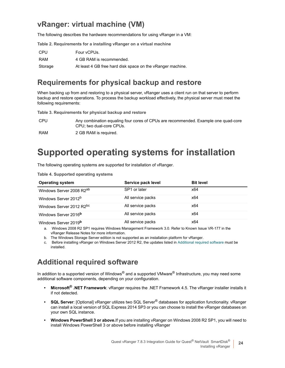#### **vRanger: virtual machine (VM)**

The following describes the hardware recommendations for using vRanger in a VM:

**Table 2. Requirements for a installing vRanger on a virtual machine**

| CPU     | Four vCPUs.                                                |
|---------|------------------------------------------------------------|
| RAM     | 4 GB RAM is recommended.                                   |
| Storage | At least 4 GB free hard disk space on the vRanger machine. |

#### **Requirements for physical backup and restore**

When backing up from and restoring to a physical server, vRanger uses a client run on that server to perform backup and restore operations. To process the backup workload effectively, the physical server must meet the following requirements:

**Table 3. Requirements for physical backup and restore**

CPU Any combination equaling four cores of CPUs are recommended. Example one quad-core CPU; two dual-core CPUs.

RAM 2 GB RAM is required.

### **Supported operating systems for installation**

The following operating systems are supported for installation of vRanger.

|  | Table 4. Supported operating systems |  |  |
|--|--------------------------------------|--|--|
|--|--------------------------------------|--|--|

| <b>Operating system</b>              | Service pack level | <b>Bit level</b> |  |
|--------------------------------------|--------------------|------------------|--|
| Windows Server 2008 R2 <sup>ab</sup> | SP1 or later       | x64              |  |
| Windows Server 2012 <sup>b</sup>     | All service packs  | x64              |  |
| Windows Server 2012 R2bc             | All service packs  | x64              |  |
| Windows Server 2016 <sup>b</sup>     | All service packs  | x64              |  |
| Windows Server 2019 <sup>b</sup>     | All service packs  | x64              |  |

a. Windows 2008 R2 SP1 requires Windows Management Framework 3.0. Refer to Known Issue VR-177 in the vRanger Release Notes for more information.

b. The Windows Storage Server edition is not supported as an installation platform for vRanger.

c. Before installing vRanger on Windows Server 2012 R2, the updates listed in Additional required software must be installed.

#### **Additional required software**

In addition to a supported version of Windows<sup>®</sup> and a supported VMware<sup>®</sup> Infrastructure, you may need some additional software components, depending on your configuration.

- **Microsoft® .NET Framework**: vRanger requires the .NET Framework 4.5. The vRanger installer installs it if not detected.
- **SQL Server**: [Optional] vRanger utilizes two SQL Server® databases for application functionality. vRanger can install a local version of SQL Express 2014 SP3 or you can choose to install the vRanger databases on your own SQL instance.
- **Windows PowerShell 3 or above.**If you are installing vRanger on Windows 2008 R2 SP1, you will need to install Windows PowerShell 3 or above before installing vRanger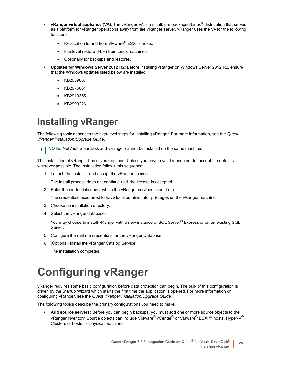- **vRanger virtual appliance (VA)**: The vRanger VA is a small, pre-packaged Linux® distribution that serves as a platform for vRanger operations away from the vRanger server. vRanger uses the VA for the following functions:
	- **▪** Replication to and from VMware® ESXi™ hosts.
	- File-level restore (FLR) from Linux machines.
	- **Optionally for backups and restores.**
- **Updates for Windows Server 2012 R2**: Before installing vRanger on Windows Server 2012 R2, ensure that the Windows updates listed below are installed:
	- **▪** KB2939087
	- **▪** KB2975061
	- **▪** KB2919355
	- **▪** KB2999226

## <span id="page-24-1"></span><span id="page-24-0"></span>**Installing vRanger**

The following topic describes the high-level steps for installing vRanger. For more information, see the *Quest vRanger Installation/Upgrade Guide*.

**NOTE:** NetVault SmartDisk and vRanger cannot be installed on the same machine.f.

The installation of vRanger has several options. Unless you have a valid reason not to, accept the defaults wherever possible. The installation follows this sequence:

1 Launch the installer, and accept the vRanger license.

The install process does not continue until the license is accepted.

2 Enter the credentials under which the vRanger services should run.

The credentials used need to have local administrator privileges on the vRanger machine.

- 3 Choose an installation directory.
- 4 Select the vRanger database.

You may choose to install vRanger with a new instance of SQL Server<sup>®</sup> Express or on an existing SQL Server.

- 5 Configure the runtime credentials for the vRanger Database.
- 6 [Optional] Install the vRanger Catalog Service.

The installation completes.

# <span id="page-24-2"></span>**Configuring vRanger**

vRanger requires some basic configuration before data protection can begin. The bulk of this configuration is driven by the Startup Wizard which starts the first time the application is opened. For more information on configuring vRanger, see the *Quest vRanger Installation/Upgrade Guide*.

The following topics describe the primary configurations you need to make.

**• Add source servers:** Before you can begin backups, you must add one or more source objects to the vRanger inventory. Source objects can include VMware® vCenter® or VMware® ESXi™ hosts, Hyper-V® Clusters or hosts, or physical machines.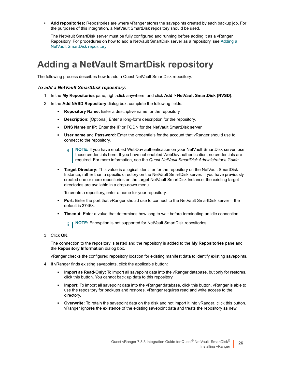**• Add repositories:** Repositories are where vRanger stores the savepoints created by each backup job. For the purposes of this integration, a NetVault SmartDisk repository should be used.

<span id="page-25-0"></span>[The NetVault SmartDisk serve](#page-25-1)r must be fully configured and running before adding it as a vRanger Repository. For procedures on how to add a NetVault SmartDisk server as a repository, see Adding a NetVault SmartDisk repository.

### <span id="page-25-1"></span>**Adding a NetVault SmartDisk repository**

The following process describes how to add a Quest NetVault SmartDisk repository.

#### *To add a NetVault SmartDisk repository:*

- 1 In the **My Repositories** pane, right-click anywhere, and click **Add > NetVault SmartDisk (NVSD)**.
- 2 In the **Add NVSD Repository** dialog box, complete the following fields:
	- **▪ Repository Name:** Enter a descriptive name for the repository.
	- **Description:** [Optional] Enter a long-form description for the repository.
	- **DNS Name or IP:** Enter the IP or FQDN for the NetVault SmartDisk server.
	- **User name** and **Password:** Enter the credentials for the account that vRanger should use to connect to the repository.
		- **NOTE:** If you have enabled WebDav authentication on your NetVault SmartDisk server, use ÷ those credentials here. If you have not enabled WebDav authentication, no credentials are required. For more information, see the *Quest NetVault SmartDisk Administrator's Guide*.
	- **Target Directory:** This value is a logical identifier for the repository on the NetVault SmartDisk Instance, rather than a specific directory on the NetVault SmartDisk server. If you have previously created one or more repositories on the target NetVault SmartDisk Instance, the existing target directories are available in a drop-down menu.

To create a repository, enter a name for your repository.

- **Port:** Enter the port that vRanger should use to connect to the NetVault SmartDisk server—the default is 37453.
- **Timeout:** Enter a value that determines how long to wait before terminating an idle connection.

**NOTE:** Encryption is not supported for NetVault SmartDisk repositories.i l

3 Click **OK**.

The connection to the repository is tested and the repository is added to the **My Repositories** pane and the **Repository Information** dialog box.

vRanger checks the configured repository location for existing manifest data to identify existing savepoints.

- 4 If vRanger finds existing savepoints, click the applicable button:
	- **▪ Import as Read-Only:** To import all savepoint data into the vRanger database, but only for restores, click this button. You cannot back up data to this repository.
	- **▪ Import:** To import all savepoint data into the vRanger database, click this button. vRanger is able to use the repository for backups and restores. vRanger requires read and write access to the directory.
	- **Overwrite:** To retain the savepoint data on the disk and not import it into vRanger, click this button. vRanger ignores the existence of the existing savepoint data and treats the repository as new.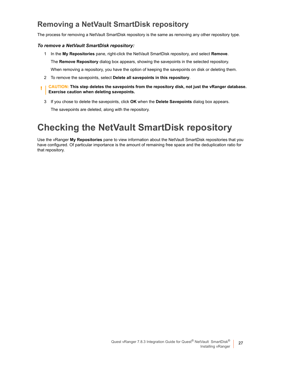#### **Removing a NetVault SmartDisk repository**

The process for removing a NetVault SmartDisk repository is the same as removing any other repository type.

#### *To remove a NetVault SmartDisk repository:*

- 1 In the **My Repositories** pane, right-click the NetVault SmartDisk repository, and select **Remove**. The **Remove Repository** dialog box appears, showing the savepoints in the selected repository. When removing a repository, you have the option of keeping the savepoints on disk or deleting them.
- 2 To remove the savepoints, select **Delete all savepoints in this repository**.
- **CAUTION: This step deletes the savepoints from the repository disk, not just the vRanger database.**  ţ. **Exercise caution when deleting savepoints.**
	- 3 If you chose to delete the savepoints, click **OK** when the **Delete Savepoints** dialog box appears.

The savepoints are deleted, along with the repository.

## <span id="page-26-0"></span>**Checking the NetVault SmartDisk repository**

Use the vRanger **My Repositories** pane to view information about the NetVault SmartDisk repositories that you have configured. Of particular importance is the amount of remaining free space and the deduplication ratio for that repository.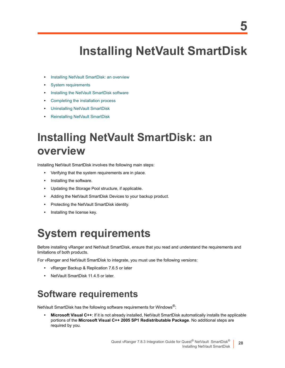# <span id="page-27-0"></span>**Installing NetVault SmartDisk**

- **•** [Installing NetVault Sm](#page-27-2)artDisk: an overview
- **•** [System requirements](#page-29-0)
- **•** [Installing the NetVault SmartDisk so](#page-31-0)ftware
- **•** [Completing the installation proce](#page-32-2)ss
- **•** [Uninstalling NetVault SmartDisk](#page-33-2)
- <span id="page-27-1"></span>**•** Reinstalling NetVault SmartDisk

# **Installing NetVault SmartDisk: an overview**

Installing NetVault SmartDisk involves the following main steps:

- **•** Verifying that the system requirements are in place.
- **•** Installing the software.
- **•** Updating the Storage Pool structure, if applicable.
- **•** Adding the NetVault SmartDisk Devices to your backup product.
- **•** Protecting the NetVault SmartDisk identity.
- <span id="page-27-4"></span><span id="page-27-2"></span>**•** Installing the license key.

## **System requirements**

Before installing vRanger and NetVault SmartDisk, ensure that you read and understand the requirements and limitations of both products.

For vRanger and NetVault SmartDisk to integrate, you must use the following versions:

- **•** vRanger Backup & Replication 7.6.5 or later
- <span id="page-27-3"></span>**•** NetVault SmartDisk 11.4.5 or later.

### **Software requirements**

NetVault SmartDisk has the following software requirements for Windows®:

**• Microsoft Visual C++**: If it is not already installed, NetVault SmartDisk automatically installs the applicable portions of the **Microsoft Visual C++ 2005 SP1 Redistributable Package**. No additional steps are required by you.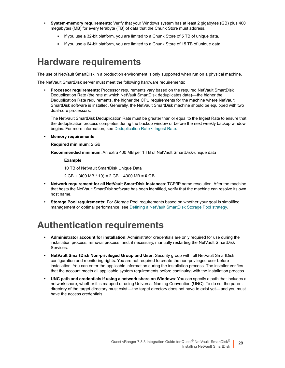- **System-memory requirements**: Verify that your Windows system has at least 2 gigabytes (GB) plus 400 megabytes (MB) for every terabyte (TB) of data that the Chunk Store must address.
	- **▪** If you use a 32-bit platform, you are limited to a Chunk Store of 5 TB of unique data.
	- **▪** If you use a 64-bit platform, you are limited to a Chunk Store of 15 TB of unique data.

#### <span id="page-28-0"></span>**Hardware requirements**

The use of NetVault SmartDisk in a production environment is only supported when run on a physical machine.

The NetVault SmartDisk server must meet the following hardware requirements:

**• Processor requirements**: Processor requirements vary based on the required NetVault SmartDisk Deduplication Rate (the rate at which NetVault SmartDisk deduplicates data) — the higher the Deduplication Rate requirements, the higher the CPU requirements for the machine where NetVault SmartDisk software is installed. Generally, the NetVault SmartDisk machine should be equipped with two dual-core processors.

The NetVault SmartDisk Deduplic[ation Rate must be greater than or](#page-17-2) equal to the Ingest Rate to ensure that the deduplication process completes during the backup window or before the next weekly backup window begins. For more information, see Deduplication Rate < Ingest Rate.

**• Memory requirements**:

#### **Required minimum**: 2 GB

**Recommended minimum**: An extra 400 MB per 1 TB of NetVault SmartDisk-unique data

#### **Example**

10 TB of NetVault SmartDisk Unique Data

2 GB + (400 MB \* 10) = 2 GB + 4000 MB = **6 GB**

- **Network requirement for all NetVault SmartDisk Instances**: TCP/IP name resolution. After the machine that hosts the NetVault SmartDisk software has been identified, verify that the machine can resolve its own host name.
- <span id="page-28-2"></span><span id="page-28-1"></span>**• Storage Pool requirements:** For Storage Pool requirements based on whether your goal is simplified management or optimal performance, see Defining a NetVault SmartDisk Storage Pool strategy.

### **Authentication requirements**

- **Administrator account for installation**: Administrator credentials are only required for use during the installation process, removal process, and, if necessary, manually restarting the NetVault SmartDisk Services.
- **NetVault SmartDisk Non-privileged Group and User**: Security group with full NetVault SmartDisk configuration and monitoring rights. You are not required to create the non-privileged user before installation. You can enter the applicable information during the installation process. The installer verifies that the account meets all applicable system requirements before continuing with the installation process.
- **UNC path and credentials if using a network share on Windows**: You can specify a path that includes a network share, whether it is mapped or using Universal Naming Convention (UNC). To do so, the parent directory of the target directory must exist—the target directory does not have to exist yet—and you must have the access credentials.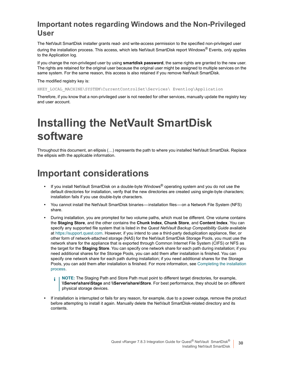#### **Important notes regarding Windows and the Non-Privileged User**

The NetVault SmartDisk installer grants read- and write-access permission to the specified non-privileged user during the installation process. This access, which lets NetVault SmartDisk report Windows® Events, *only* applies to the Application log.

If you change the non-privileged user by using **smartdisk password**, the same rights are granted to the new user. The rights are retained for the original user because the original user might be assigned to multiple services on the same system. For the same reason, this access is also retained if you remove NetVault SmartDisk.

The modified registry key is:

HKEY\_LOCAL\_MACHINE\SYSTEM\CurrentControlSet\Services\ Eventlog\Application

<span id="page-29-0"></span>Therefore, if you know that a non-privileged user is not needed for other services, manually update the registry key and user account.

# **Installing the NetVault SmartDisk software**

<span id="page-29-1"></span>Throughout this document, an ellipsis (…) represents the path to where you installed NetVault SmartDisk. Replace the ellipsis with the applicable information.

### **Important considerations**

- **•** If you install NetVault SmartDisk on a double-byte Windows® operating system and you do not use the default directories for installation, verify that the new directories are created using single-byte characters; installation fails if you use double-byte characters.
- **•** You cannot install the NetVault SmartDisk binaries installation files on a Network File System (NFS) share.
- **•** During installation, you are prompted for two volume paths, which must be different. One volume contains the **[Staging Store](https://support.squest.com)**, and the other contains the **Chunk Index**, **Chunk Store**, and **Content Index**. You can specify any supported file system that is listed in the *Quest NetVault Backup Compatibility Guide* available at https://support.quest.com. However, if you intend to use a third-party deduplication appliance, filer, or other form of network-attached storage (NAS) for the NetVault SmartDisk Storage Pools, you must use the network share for the appliance that is exported through Common Internet File System (CIFS) or NFS as the target for the **Staging Store**. You can specify one network share for each path during installation; if you need additional shares for the Storage Pools, you can add them after installatio[n is finished. You can](#page-31-0)  [specify o](#page-31-0)ne network share for each path during installation; if you need additional shares for the Storage Pools, you can add them after installation is finished. For more information, see Completing the installation process.
	- **NOTE:** The Staging Path and Store Path must point to different target directories, for example, f. **\\Server\share\Stage** and **\\Server\share\Store**. For best performance, they should be on different physical storage devices.
- **•** If installation is interrupted or fails for any reason, for example, due to a power outage, remove the product before attempting to install it again. Manually delete the NetVault SmartDisk-related directory and its contents.

**30**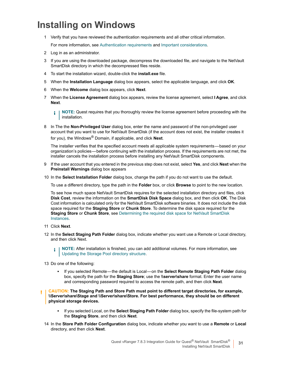### <span id="page-30-0"></span>**Installing on Windows**

1 Verify that you have revie[wed the authentication require](#page-28-1)me[nts and all other critical inf](#page-29-1)ormation.

For more information, see Authentication requirements and Important considerations.

- 2 Log in as an administrator.
- 3 If you are using the downloaded package, decompress the downloaded file, and navigate to the NetVault SmartDisk directory in which the decompressed files reside.
- 4 To start the installation wizard, double-click the **install.exe** file.
- 5 When the **Installation Language** dialog box appears, select the applicable language, and click **OK**.
- 6 When the **Welcome** dialog box appears, click **Next**.
- 7 When the **License Agreement** dialog box appears, review the license agreement, select **I Agree**, and click **Next**.
	- **NOTE:** Quest requires that you thoroughly review the license agreement before proceeding with the f installation.
- 8 In The the **Non-Privileged User** dialog box, enter the name and password of the non-privileged user account that you want to use for NetVault SmartDisk (if the account does not exist, the installer creates it for you), the Windows® Domain, if applicable, and click **Next**.

The installer verifies that the specified account meets all applicable system requirements — based on your organization's policies — before continuing with the installation process. If the requirements are not met, the installer cancels the installation process before installing any NetVault SmartDisk components.

- 9 If the user account that you entered in the previous step does not exist, select **Yes**, and click **Next** when the **Preinstall Warnings** dialog box appears
- 10 In the **Select Installation Folder** dialog box, change the path if you do not want to use the default.

To use a different directory, type the path in the **Folder** box, or click **Browse** to point to the new location.

To see how much space NetVault SmartDisk requires for the selected installation directory and files, click **Disk Cost**, review the information on the **SmartDisk Disk Space** dialog box, and then click **OK**. The Disk Cost information is calculated only fo[r the NetVault SmartDisk software binaries. It does not include the disk](#page-18-3)  [space req](#page-18-3)uired for the **Staging Store** or **Chunk Store**. To determine the disk space required for the **Staging Store** or **Chunk Store**, see Determining the required disk space for NetVault SmartDisk Instances.

- 11 Click **Next**.
- 12 In the **Select Staging Path Folder** dialog box, indicate whether you want use a Remote or Local directory, and t[hen click Next.](#page-32-0)
	- **NOTE:** After installation is finished, you can add additional volumes. For more information, see f. Updating the Storage Pool directory structure.
- 13 Do one of the following:
	- **▪** If you selected Remote the default is Local on the **Select Remote Staging Path Folder** dialog box, specify the path for the **Staging Store**; use the **\\server\share** format. Enter the user name and corresponding password required to access the remote path, and then click **Next**.
- **CAUTION: The Staging Path and Store Path must point to different target directories, for example, \\Server\share\Stage and \\Server\share\Store. For best performance, they should be on different physical storage devices.**
	- **▪** If you selected Local, on the **Select Staging Path Folder** dialog box, specify the file-system path for the **Staging Store**, and then click **Next**.
	- 14 In the **Store Path Folder Configuration** dialog box, indicate whether you want to use a **Remote** or **Local** directory, and then click **Next**.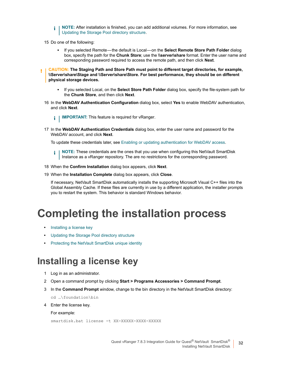- **NOTE:** After installation is finished, you can add additional volumes. For more information, see  $\ddot{\bullet}$ Updating the Storage Pool directory structure.
- 15 Do one of the following:
	- **▪** If you selected Remote the default is Local on the **Select Remote Store Path Folder** dialog box, specify the path for the **Chunk Store**; use the **\\server\share** format. Enter the user name and corresponding password required to access the remote path, and then click **Next**.
- **CAUTION: The Staging Path and Store Path must point to different target directories, for example, \\Server\share\Stage and \\Server\share\Store. For best performance, they should be on different physical storage devices.**
	- **▪** If you selected Local, on the **Select Store Path Folder** dialog box, specify the file-system path for the **Chunk Store**, and then click **Next**.
	- 16 In the **WebDAV Authentication Configuration** dialog box, select **Yes** to enable WebDAV authentication, and click **Next**.
		- **i** | IMPORTANT: This feature is required for vRanger.
	- 17 In the **WebDAV Authentication Credentials** [dialog box, enter the user name and password fo](#page-37-1)r the WebDAV account, and click **Next**.

To update these credentials later, see Enabling or updating authentication for WebDAV access.

**NOTE:** These credentials are the ones that you use when configuring this NetVault SmartDisk ÷ Instance as a vRanger repository. The are no restrictions for the corresponding password.

- 18 When the **Confirm Installation** dialog box appears, click **Next**.
- 19 When the **Installation Complete** dialog box appears, click **Close**.

If necessary, NetVault SmartDisk automatically installs the supporting Microsoft Visual C++ files into the Global Assembly Cache. If these files are currently in use by a different application, the installer prompts you to restart the system. This behavior is standard Windows behavior.

## <span id="page-31-0"></span>**C[ompleting](#page-31-1) the installation process**

- **•** [Installing a license key](#page-32-0)
- <span id="page-31-2"></span>**•** [Updating the Storage Pool directory structure](#page-32-1)
- <span id="page-31-1"></span>**•** Protecting the NetVault SmartDisk unique identity

#### **Installing a license key**

- 1 Log in as an administrator.
- 2 Open a command prompt by clicking **Start > Programs Accessories > Command Prompt**.
- 3 In the **Command Prompt** window, change to the bin directory in the NetVault SmartDisk directory:

```
cd …\foundation\bin
```
4 Enter the license key.

For example:

```
smartdisk.bat license -t XX-XXXXX-XXXX-XXXXX
```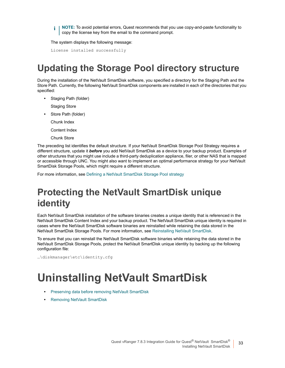**i** | NOTE: To avoid potential errors, Quest recommends that you use copy-and-paste functionality to copy the license key from the email to the command prompt.

The system displays the following message:

<span id="page-32-0"></span>License installed successfully

### **Updating the Storage Pool directory structure**

During the installation of the NetVault SmartDisk software, you specified a directory for the Staging Path and the Store Path. Currently, the following NetVault SmartDisk components are installed in each of the directories that you specified:

- **•** Staging Path (folder)
	- Staging Store
- **•** Store Path (folder)

Chunk Index

- Content Index
- Chunk Store

The preceding list identifies the default structure. If your NetVault SmartDisk Storage Pool Strategy requires a different structure, update it *before* you add NetVault SmartDisk as a device to your backup product. Examples of other structures that you might use include a third-party deduplication appliance, filer, or other NAS that is mapped or accessible through UN[C. You might also want to implement an optimal perfor](#page-19-4)mance strategy for your NetVault SmartDisk Storage Pools, which might require a different structure.

<span id="page-32-1"></span>For more information, see Defining a NetVault SmartDisk Storage Pool strategy

### **Protecting the NetVault SmartDisk unique identity**

Each NetVault SmartDisk installation of the software binaries creates a unique identity that is referenced in the NetVault SmartDisk Content Index and your backup product. T[he NetVault SmartDisk unique id](#page-33-2)entity is required in cases where the NetVault SmartDisk software binaries are reinstalled while retaining the data stored in the NetVault SmartDisk Storage Pools. For more information, see Reinstalling NetVault SmartDisk.

To ensure that you can reinstall the NetVault SmartDisk software binaries while retaining the data stored in the NetVault SmartDisk Storage Pools, protect the NetVault SmartDisk unique identity by backing up the following configuration file:

<span id="page-32-2"></span>…\diskmanager\etc\identity.cfg

## **U[ninstalling NetVault](#page-33-0) SmartDisk**

- **•** [Preserving data before removin](#page-33-1)g NetVault SmartDisk
- **•** Removing NetVault SmartDisk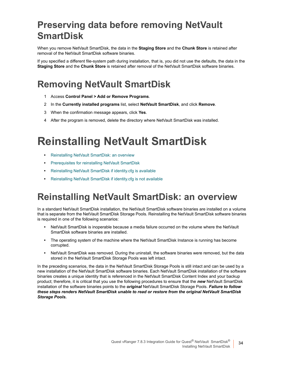## <span id="page-33-0"></span>**Preserving data before removing NetVault SmartDisk**

When you remove NetVault SmartDisk, the data in the **Staging Store** and the **Chunk Store** is retained after removal of the NetVault SmartDisk software binaries.

<span id="page-33-1"></span>If you specified a different file-system path during installation, that is, you did not use the defaults, the data in the **Staging Store** and the **Chunk Store** is retained after removal of the NetVault SmartDisk software binaries.

## **Removing NetVault SmartDisk**

- 1 Access **Control Panel > Add or Remove Programs**.
- 2 In the **Currently installed programs** list, select **NetVault SmartDisk**, and click **Remove**.
- 3 When the confirmation message appears, click **Yes**.
- <span id="page-33-2"></span>4 After the program is removed, delete the directory where NetVault SmartDisk was installed.

# **R[einstalling NetVa](#page-33-3)ult SmartDisk**

- **•** [Reinstalling NetVault SmartDisk: an overview](#page-34-0)
- **•** [Prerequisites for reinstalling NetVault SmartDisk](#page-34-1)
- **•** [Reinstalling NetVault SmartDisk if identity.cfg is available](#page-35-0)
- <span id="page-33-3"></span>**•** Reinstalling NetVault SmartDisk if identity.cfg is not available

### **Reinstalling NetVault SmartDisk: an overview**

In a standard NetVault SmartDisk installation, the NetVault SmartDisk software binaries are installed on a volume that is separate from the NetVault SmartDisk Storage Pools. Reinstalling the NetVault SmartDisk software binaries is required in one of the following scenarios:

- **•** NetVault SmartDisk is inoperable because a media failure occurred on the volume where the NetVault SmartDisk software binaries are installed.
- **•** The operating system of the machine where the NetVault SmartDisk Instance is running has become corrupted.
- **•** NetVault SmartDisk was removed. During the uninstall, the software binaries were removed, but the data stored in the NetVault SmartDisk Storage Pools was left intact.

In the preceding scenarios, the data in the NetVault SmartDisk Storage Pools is still intact and can be used by a new installation of the NetVault SmartDisk software binaries. Each NetVault SmartDisk installation of the software binaries creates a unique identity that is referenced in the NetVault SmartDisk Content Index and your backup product; therefore, it is critical that you use the following procedures to ensure that the *new* NetVault SmartDisk installation of the software binaries points to the *original* NetVault SmartDisk Storage Pools. *Failure to follow these steps renders NetVault SmartDisk unable to read or restore from the original NetVault SmartDisk Storage Pools.*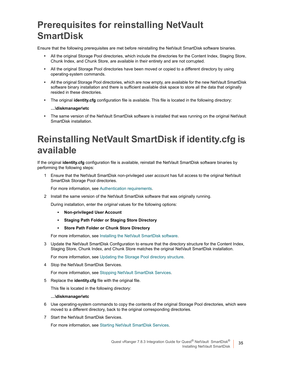## <span id="page-34-0"></span>**Prerequisites for reinstalling NetVault SmartDisk**

Ensure that the following prerequisites are met before reinstalling the NetVault SmartDisk software binaries.

- **•** All the original Storage Pool directories, which include the directories for the Content Index, Staging Store, Chunk Index, and Chunk Store, are available in their entirety and are not corrupted.
- **•** All the original Storage Pool directories have been moved or copied to a different directory by using operating-system commands.
- **•** All the original Storage Pool directories, which are now empty, are available for the new NetVault SmartDisk software binary installation and there is sufficient available disk space to store all the data that originally resided in these directories.
- **•** The original **identity.cfg** configuration file is available. This file is located in the following directory:

#### **…\diskmanager\etc**

<span id="page-34-1"></span>**•** The same version of the NetVault SmartDisk software is installed that was running on the original NetVault SmartDisk installation.

## **Reinstalling NetVault SmartDisk if identity.cfg is available**

If the original **identity.cfg** configuration file is available, reinstall the NetVault SmartDisk software binaries by performing the following steps:

1 Ensure that the NetVault S[martDisk non-privileged use](#page-28-1)r account has full access to the original NetVault SmartDisk Storage Pool directories.

For more information, see Authentication requirements.

2 Install the same version of the NetVault SmartDisk software that was originally running.

During installation, enter the *original* values for the following options:

- **▪ Non-privileged User Account**
- **▪ Staging Path Folder or Staging Store Directory**
- **▪ Store Path Folder [or Chunk Store Directory](#page-29-0)**

For more information, see Installing the NetVault SmartDisk software.

3 Update the NetVault Smar[tDisk Configuration to ensure that the director](#page-32-0)y structure for the Content Index, Staging Store, Chunk Index, and Chunk Store matches the original NetVault SmartDisk installation.

For more information, see [Updating the Storage Pool directory str](#page-40-4)ucture.

4 Stop the NetVault SmartDisk Services.

For more information, see Stopping NetVault SmartDisk Services.

5 Replace the **identity.cfg** file with the original file.

This file is located in the following directory:

#### **…\diskmanager\etc**

- 6 Use operating-system commands to copy the contents of the original Storage Pool directories, which were moved to a different direct[ory, back to the original corresponding](#page-40-5) directories.
- 7 Start the NetVault SmartDisk Services.

For more information, see Starting NetVault SmartDisk Services.

**35**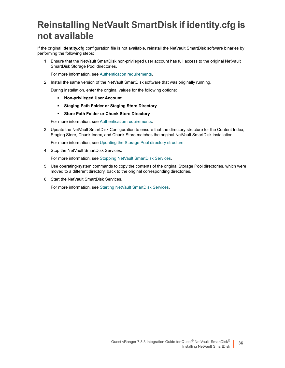## <span id="page-35-0"></span>**Reinstalling NetVault SmartDisk if identity.cfg is not available**

If the original **identity.cfg** configuration file is not available, reinstall the NetVault SmartDisk software binaries by performing the following steps:

1 Ensure that the NetVault S[martDisk non-privileged use](#page-28-1)r account has full access to the original NetVault SmartDisk Storage Pool directories.

For more information, see Authentication requirements.

- 2 Install the same version of the NetVault SmartDisk software that was originally running.
	- During installation, enter the original values for the following options:
		- **▪ Non-privileged User Account**
		- **▪ Staging Path Folder or Staging Store Directory**
		- **▪ Store Path Folder [or Chunk Store Directory](#page-28-1)**

For more information, see Authentication requirements.

3 Update the NetVault Smar[tDisk Configuration to ensure that the director](#page-32-0)y structure for the Content Index, Staging Store, Chunk Index, and Chunk Store matches the original NetVault SmartDisk installation.

For more information, see [Updating the Storage Pool directory str](#page-40-4)ucture.

4 Stop the NetVault SmartDisk Services.

For more information, see Stopping NetVault SmartDisk Services.

- 5 Use operating-system commands to copy the contents of the original Storage Pool directories, which were moved to a different direct[ory, back to the original corresponding](#page-40-5) directories.
- 6 Start the NetVault SmartDisk Services.

For more information, see Starting NetVault SmartDisk Services.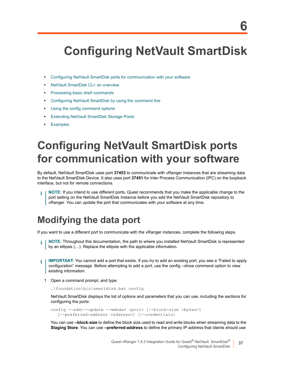# <span id="page-36-3"></span><span id="page-36-0"></span>**Configuring NetVault SmartDisk**

- **•** [Configuring NetVault SmartDisk ports](#page-38-1) for communication with your software
- **•** [NetVault SmartDisk CLI: an overvi](#page-39-1)ew
- **•** [Processing basic shell commands](#page-41-1)
- **•** [Configuring NetVault SmartDisk by](#page-41-2) using the command line
- **•** [Using the config command options](#page-43-0)
- **•** [Extending](#page-44-0) NetVault SmartDisk Storage Pools
- <span id="page-36-1"></span>**•** Examples

## **Configuring NetVault SmartDisk ports for communication with your software**

By default, NetVault SmartDisk uses port **37453** to communicate with vRanger instances that are streaming data to the NetVault SmartDisk Device. It also uses port **37451** for Inter Process Communication (IPC) on the loopback interface, but not for remote connections.

<span id="page-36-2"></span>**NOTE:** If you intend to use different ports, Quest recommends that you make the applicable change to the port setting on the NetVault SmartDisk Instance before you add the NetVault SmartDisk repository to vRanger. You can update the port that communicates with your software at any time.

### **Modifying the data port**

If you want to use a different port to communicate with the vRanger instances, complete the following steps.

- **NOTE:** Throughout this documentation, the path to where you installed NetVault SmartDisk is represented f by an ellipsis (…). Replace the ellipsis with the applicable information.
- **IMPORTANT:** You cannot add a port that exists. If you try to add an existing port, you see a "Failed to apply configuration" message. Before attempting to add a port, use the config --show command option to view existing information.
	- 1 Open a command prompt, and type:

…\foundation\bin\smartdisk.bat config

NetVault SmartDisk displays the list of options and parameters that you can use, including the sections for configuring the ports:

```
config --add|--update --webdav <port> [--block-size <bytes>] 
   [--preferred-address <address>] [--credentials]
```
You can use **--block-size** to define the block size used to read and write blocks when streaming data to the **Staging Store**. You can use **--preferred-address** to define the primary IP address that clients should use

**37**

**6**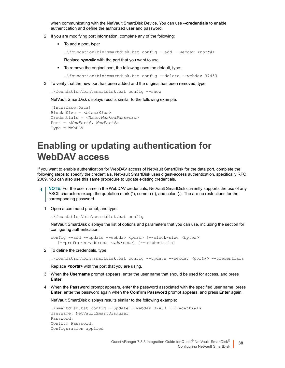when communicating with the NetVault SmartDisk Device. You can use **--credentials** to enable authentication and define the authorized user and password.

- 2 If you are modifying port information, complete any of the following:
	- **▪** To add a port, type:

…\foundation\bin\smartdisk.bat config --add --webdav *<port#>*

Replace **<port#>** with the port that you want to use.

**▪** To remove the original port, the following uses the default, type:

…\foundation\bin\smartdisk.bat config --delete --webdav 37453

3 To verify that the new port has been added and the original has been removed, type:

…\foundation\bin\smartdisk.bat config --show

NetVault SmartDisk displays results similar to the following example:

```
[Interface:Data]
Block Size = <blockSize>
Credentials = <Name:MaskedPassword>
Port = <NewPort#, NewPort#>
Type = WebDAV
```
### <span id="page-37-1"></span><span id="page-37-0"></span>**Enabling or updating authentication for WebDAV access**

If you want to enable authentication for WebDAV access of NetVault SmartDisk for the data port, complete the following steps to specify the credentials. NetVault SmartDisk uses digest-access authentication, specifically RFC 2069. You can also use this same procedure to update existing credentials.

**NOTE:** For the user name in the WebDAV credentials, NetVault SmartDisk currently supports the use of any f ASCII characters except the quotation mark ("), comma (,), and colon (:). The are no restrictions for the corresponding password.

1 Open a command prompt, and type:

…\foundation\bin\smartdisk.bat config

NetVault SmartDisk displays the list of options and parameters that you can use, including the section for configuring authentication:

```
config --add|--update --webdav <port> [--block-size <bytes>] 
   [--preferred-address <address>] [--credentials]
```
2 To define the credentials, type:

…\foundation\bin\smartdisk.bat config --update --webdav *<port#>* --credentials

Replace *<port#>* with the port that you are using.

- 3 When the **Username** prompt appears, enter the user name that should be used for access, and press **Enter**.
- 4 When the **Password** prompt appears, enter the password associated with the specified user name, press **Enter**, enter the password again when the **Confirm Password** prompt appears, and press **Enter** again.

NetVault SmartDisk displays results similar to the following example:

```
./smartdisk.bat config --update --webdav 37453 --credentials
Username: NetVaultSmartDiskuser
Password:
Confirm Password:
Configuration applied
```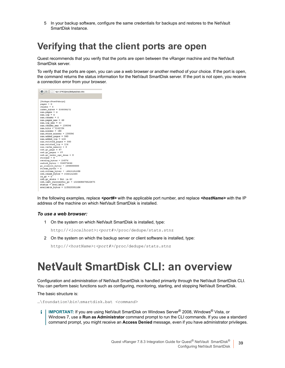In your backup software, configure the same credentials for backups and restores to the NetVault SmartDisk Instance.

### <span id="page-38-0"></span>**Verifying that the client ports are open**

Quest recommends that you verify that the ports are open between the vRanger machine and the NetVault SmartDisk server.

To verify that the ports are open, you can use a web browser or another method of your choice. If the port is open, the command returns the status information for the NetVault SmartDisk server. If the port is not open, you receive a connection error from your browser.



In the following examples, replace *<port#>* with the applicable port number, and replace *<hostName>* with the IP address of the machine on which NetVault SmartDisk is installed.

#### *To use a web browser:*

1 On the system on which NetVault SmartDisk is installed, type:

http://*<localhost>*:*<port#>*/proc/dedupe/stats.stnz

2 On the system on which the backup server or client software is installed, type:

http://*<hostName>*:*<port#>*/proc/dedupe/stats.stnz

## <span id="page-38-1"></span>**NetVault SmartDisk CLI: an overview**

Configuration and administration of NetVault SmartDisk is handled primarily through the NetVault SmartDisk CLI. You can perform basic functions such as configuring, monitoring, starting, and stopping NetVault SmartDisk.

The basic structure is:

…\foundation\bin\smartdisk.bat *<command>*

**IMPORTANT:** If you are using NetVault SmartDisk on Windows Server® 2008, Windows® Vista, or i. Windows 7, use a **Run as Administrator** command prompt to run the CLI commands. If you use a standard command prompt, you might receive an **Access Denied** message, even if you have administrator privileges.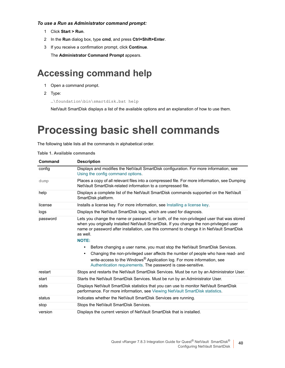#### *To use a Run as Administrator command prompt:*

- 1 Click **Start > Run**.
- 2 In the **Run** dialog box, type **cmd**, and press **Ctrl+Shift+Enter**.
- <span id="page-39-0"></span>3 If you receive a confirmation prompt, click **Continue**.

The **Administrator Command Prompt** appears.

### **Accessing command help**

- 1 Open a command prompt.
- 2 Type:

…\foundation\bin\smartdisk.bat help

NetVault SmartDisk displays a list of the available options and an explanation of how to use them.

## <span id="page-39-1"></span>**Processing basic shell commands**

The following table lists all the commands in alphabetical order.

| Command  | <b>Description</b>                                                                                                                                                                                                                                                                                                                                                                                                                                                                                                                                                                                                                          |
|----------|---------------------------------------------------------------------------------------------------------------------------------------------------------------------------------------------------------------------------------------------------------------------------------------------------------------------------------------------------------------------------------------------------------------------------------------------------------------------------------------------------------------------------------------------------------------------------------------------------------------------------------------------|
| config   | Displays and modifies the NetVault SmartDisk configuration. For more information, see<br>Using the config command options.                                                                                                                                                                                                                                                                                                                                                                                                                                                                                                                  |
| dump     | Places a copy of all relevant files into a compressed file. For more information, see Dumping<br>NetVault SmartDisk-related information to a compressed file.                                                                                                                                                                                                                                                                                                                                                                                                                                                                               |
| help     | Displays a complete list of the NetVault SmartDisk commands supported on the NetVault<br>SmartDisk platform.                                                                                                                                                                                                                                                                                                                                                                                                                                                                                                                                |
| license  | Installs a license key. For more information, see Installing a license key.                                                                                                                                                                                                                                                                                                                                                                                                                                                                                                                                                                 |
| logs     | Displays the NetVault SmartDisk logs, which are used for diagnosis.                                                                                                                                                                                                                                                                                                                                                                                                                                                                                                                                                                         |
| password | Lets you change the name or password, or both, of the non-privileged user that was stored<br>when you originally installed NetVault SmartDisk. If you change the non-privileged user<br>name or password after installation, use this command to change it in NetVault SmartDisk<br>as well.<br><b>NOTE:</b><br>Before changing a user name, you must stop the NetVault SmartDisk Services.<br>Changing the non-privileged user affects the number of people who have read- and<br>٠<br>write-access to the Windows <sup>®</sup> Application log. For more information, see<br>Authentication requirements. The password is case-sensitive. |
| restart  | Stops and restarts the NetVault SmartDisk Services. Must be run by an Administrator User.                                                                                                                                                                                                                                                                                                                                                                                                                                                                                                                                                   |
| start    | Starts the NetVault SmartDisk Services. Must be run by an Administrator User.                                                                                                                                                                                                                                                                                                                                                                                                                                                                                                                                                               |
| stats    | Displays NetVault SmartDisk statistics that you can use to monitor NetVault SmartDisk<br>performance. For more information, see Viewing NetVault SmartDisk statistics.                                                                                                                                                                                                                                                                                                                                                                                                                                                                      |
| status   | Indicates whether the NetVault SmartDisk Services are running.                                                                                                                                                                                                                                                                                                                                                                                                                                                                                                                                                                              |
| stop     | Stops the NetVault SmartDisk Services.                                                                                                                                                                                                                                                                                                                                                                                                                                                                                                                                                                                                      |
| version  | Displays the current version of NetVault SmartDisk that is installed.                                                                                                                                                                                                                                                                                                                                                                                                                                                                                                                                                                       |

**40**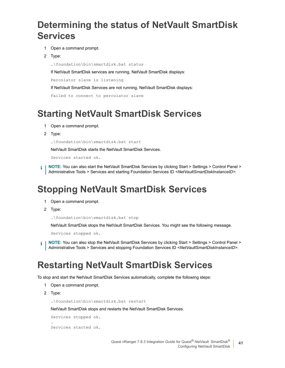### <span id="page-40-0"></span>**Determining the status of NetVault SmartDisk Services**

- 1 Open a command prompt.
- 2 Type:

…\foundation\bin\smartdisk.bat status

If NetVault SmartDisk services are running, NetVault SmartDisk displays:

Percolator slave is listening

If NetVault SmartDisk Services are not running, NetVault SmartDisk displays:

```
Failed to connect to percolator slave
```
### <span id="page-40-5"></span><span id="page-40-1"></span>**Starting NetVault SmartDisk Services**

- 1 Open a command prompt.
- 2 Type:

```
…\foundation\bin\smartdisk.bat start
```
NetVault SmartDisk starts the NetVault SmartDisk Services.

Services started ok.

**NOTE:** You can also start the NetVault SmartDisk Services by clicking Start > Settings > Control Panel > f. Administrative Tools > Services and starting Foundation Services ID *<NetVaultSmartDiskInstanceID>*.

## <span id="page-40-4"></span><span id="page-40-2"></span>**Stopping NetVault SmartDisk Services**

- 1 Open a command prompt.
- 2 Type:

```
…\foundation\bin\smartdisk.bat stop
```
NetVault SmartDisk stops the NetVault SmartDisk Services. You might see the following message.

Services stopped ok.

**NOTE:** You can also stop the NetVault SmartDisk Services by clicking Start > Settings > Control Panel > ÷ Administrative Tools > Services and stopping Foundation Services ID *<NetVaultSmartDiskInstanceID>*.

### <span id="page-40-3"></span>**Restarting NetVault SmartDisk Services**

To stop and start the NetVault SmartDisk Services automatically, complete the following steps:

- 1 Open a command prompt.
- 2 Type:

…\foundation\bin\smartdisk.bat restart

NetVault SmartDisk stops and restarts the NetVault SmartDisk Services.

Services stopped ok. . Services started ok.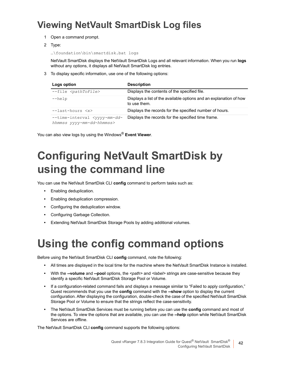## <span id="page-41-0"></span>**Viewing NetVault SmartDisk Log files**

- 1 Open a command prompt.
- 2 Type:

…\foundation\bin\smartdisk.bat logs

NetVault SmartDisk displays the NetVault SmartDisk Logs and all relevant information. When you run **logs** without any options, it displays all NetVault SmartDisk log entries.

3 To display specific information, use one of the following options:

| Logs option                                                                   | <b>Description</b>                                                                 |
|-------------------------------------------------------------------------------|------------------------------------------------------------------------------------|
| --file <pathtofile></pathtofile>                                              | Displays the contents of the specified file.                                       |
| $-\text{help}$                                                                | Displays a list of the available options and an explanation of how<br>to use them. |
| $-$ -last-hours $\langle x \rangle$                                           | Displays the records for the specified number of hours.                            |
| --time-interval <yyyy-mm-dd-<br>hhmmss yyyy-mm-dd-hhmmss&gt;</yyyy-mm-dd-<br> | Displays the records for the specified time frame.                                 |

You can also view logs by using the Windows® **Event Viewer**.

## <span id="page-41-1"></span>**Configuring NetVault SmartDisk by using the command line**

You can use the NetVault SmartDisk CLI **config** command to perform tasks such as:

- **•** Enabling deduplication.
- **•** Enabling deduplication compression.
- **•** Configuring the deduplication window.
- **•** Configuring Garbage Collection.
- **•** Extending NetVault SmartDisk Storage Pools by adding additional volumes.

## <span id="page-41-3"></span><span id="page-41-2"></span>**Using the config command options**

Before using the NetVault SmartDisk CLI **config** command, note the following:

- **•** All times are displayed in the local time for the machine where the NetVault SmartDisk Instance is installed.
- **•** With the **--volume** and **--pool** options, the *<path>* and *<label>* strings are case-sensitive because they identify a specific NetVault SmartDisk Storage Pool or Volume.
- **•** If a configuration-related command fails and displays a message similar to "Failed to apply configuration," Quest recommends that you use the **config** command with the **--show** option to display the current configuration. After displaying the configuration, double-check the case of the specified NetVault SmartDisk Storage Pool or Volume to ensure that the strings reflect the case-sensitivity.
- **•** The NetVault SmartDisk Services must be running before you can use the **config** command and most of the options. To view the options that are available, you can use the **--help** option while NetVault SmartDisk Services are offline.

The NetVault SmartDisk CLI **config** command supports the following options: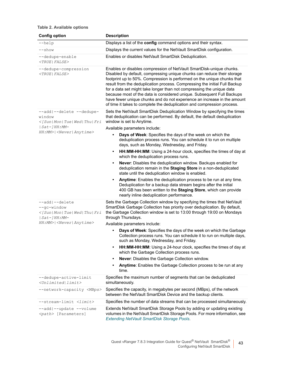#### **Table 2. Available options**

| <b>Config option</b>                                                            | <b>Description</b>                                                                                                                                                                                                                                                                                                                                                                                                                                                                                                                                                                                                 |
|---------------------------------------------------------------------------------|--------------------------------------------------------------------------------------------------------------------------------------------------------------------------------------------------------------------------------------------------------------------------------------------------------------------------------------------------------------------------------------------------------------------------------------------------------------------------------------------------------------------------------------------------------------------------------------------------------------------|
| $-\text{help}$                                                                  | Displays a list of the config command options and their syntax.                                                                                                                                                                                                                                                                                                                                                                                                                                                                                                                                                    |
| --show                                                                          | Displays the current values for the NetVault SmartDisk configuration.                                                                                                                                                                                                                                                                                                                                                                                                                                                                                                                                              |
| --dedupe-enable<br>$\langle TRUE  FALSE \rangle$                                | Enables or disables NetVault SmartDisk Deduplication.                                                                                                                                                                                                                                                                                                                                                                                                                                                                                                                                                              |
| --dedupe-compression<br>$\langle TRUE  FALSE \rangle$                           | Enables or disables compression of NetVault SmartDisk-unique chunks.<br>Disabled by default, compressing unique chunks can reduce their storage<br>footprint up to 50%. Compression is performed on the unique chunks that<br>result from the deduplication process. Compressing the initial Full Backup<br>for a data set might take longer than not compressing the unique data<br>because most of the data is considered unique. Subsequent Full Backups<br>have fewer unique chunks and do not experience an increase in the amount<br>of time it takes to complete the deduplication and compression process. |
| --add --delete --dedupe-<br>window<br>$\leq$ [Sun Mon Tue Wed Thu Fri           | Sets the NetVault SmartDisk Deduplication Window by specifying the times<br>that deduplication can be performed. By default, the default deduplication<br>window is set to Anytime.                                                                                                                                                                                                                                                                                                                                                                                                                                |
| $ Sat-JHH:MM-$<br>HH: MM>   <never anytime=""  =""></never>                     | Available parameters include:                                                                                                                                                                                                                                                                                                                                                                                                                                                                                                                                                                                      |
|                                                                                 | Days of Week: Specifies the days of the week on which the<br>deduplication process runs. You can schedule it to run on multiple<br>days, such as Monday, Wednesday, and Friday.                                                                                                                                                                                                                                                                                                                                                                                                                                    |
|                                                                                 | HH:MM-HH:MM: Using a 24-hour clock, specifies the times of day at<br>which the deduplication process runs.                                                                                                                                                                                                                                                                                                                                                                                                                                                                                                         |
|                                                                                 | Never: Disables the deduplication window. Backups enabled for<br>deduplication remain in the Staging Store in a non-deduplicated<br>state until the deduplication window is enabled.                                                                                                                                                                                                                                                                                                                                                                                                                               |
|                                                                                 | Anytime: Enables the deduplication process to be run at any time.<br>Deduplication for a backup data stream begins after the initial<br>400 GB has been written to the Staging Store, which can provide<br>nearly inline deduplication performance.                                                                                                                                                                                                                                                                                                                                                                |
| --add --delete<br>$-$ -qc-window<br><[Sun Mon Tue Wed Thu Fri<br>$ Sat-]HH:MM-$ | Sets the Garbage Collection window by specifying the times that NetVault<br>SmartDisk Garbage Collection has priority over deduplication. By default,<br>the Garbage Collection window is set to 13:00 through 19:00 on Mondays<br>through Thursdays.                                                                                                                                                                                                                                                                                                                                                              |
| HH: MM>   < Never   Anytime>                                                    | Available parameters include:                                                                                                                                                                                                                                                                                                                                                                                                                                                                                                                                                                                      |
|                                                                                 | Days of Week: Specifies the days of the week on which the Garbage<br>Collection process runs. You can schedule it to run on multiple days,<br>such as Monday, Wednesday, and Friday.                                                                                                                                                                                                                                                                                                                                                                                                                               |
|                                                                                 | HH:MM-HH:MM: Using a 24-hour clock, specifies the times of day at<br>$\bullet$<br>which the Garbage Collection process runs.                                                                                                                                                                                                                                                                                                                                                                                                                                                                                       |
|                                                                                 | Never: Disables the Garbage Collection window.<br>$\bullet$                                                                                                                                                                                                                                                                                                                                                                                                                                                                                                                                                        |
|                                                                                 | Anytime: Enables the Garbage Collection process to be run at any<br>time.                                                                                                                                                                                                                                                                                                                                                                                                                                                                                                                                          |
| --dedupe-active-limit<br><unlimited limit></unlimited limit>                    | Specifies the maximum number of segments that can be deduplicated<br>simultaneously.                                                                                                                                                                                                                                                                                                                                                                                                                                                                                                                               |
| --network-capacity <mbps></mbps>                                                | Specifies the capacity, in megabytes per second (MBps), of the network<br>between the NetVault SmartDisk Device and the backup clients.                                                                                                                                                                                                                                                                                                                                                                                                                                                                            |
| --stream-limit <limit></limit>                                                  | Specifies the number of data streams that can be processed simultaneously.                                                                                                                                                                                                                                                                                                                                                                                                                                                                                                                                         |
| --add --update --volume<br><path> [Parameters]</path>                           | Extends NetVault SmartDisk Storage Pools by adding or updating existing<br>volumes in the NetVault SmartDisk Storage Pools. For more information, see<br>Extending NetVault SmartDisk Storage Pools.                                                                                                                                                                                                                                                                                                                                                                                                               |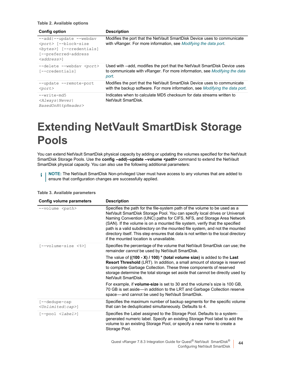|  |  |  |  | Table 2. Available options |
|--|--|--|--|----------------------------|
|--|--|--|--|----------------------------|

| Config option                                                                                                                                 | <b>Description</b>                                                                                                                                               |
|-----------------------------------------------------------------------------------------------------------------------------------------------|------------------------------------------------------------------------------------------------------------------------------------------------------------------|
| --add --update --webdav<br><port> [--block-size<br/><bytes>] [--credentials]<br/>[--preferred-address<br/><address>1</address></bytes></port> | Modifies the port that the NetVault SmartDisk Device uses to communicate<br>with vRanger. For more information, see Modifying the data port.                     |
| --delete --webdav <port><br/>[--credentials]</port>                                                                                           | Used with --add, modifies the port that the NetVault SmartDisk Device uses<br>to communicate with vRanger. For more information, see Modifying the data<br>port. |
| --update --remote-port<br>$<$ port $>$                                                                                                        | Modifies the port that the NetVault SmartDisk Device uses to communicate<br>with the backup software. For more information, see <i>Modifying the data port</i> . |
| $-$ -write-md5<br><always never <br>BasedOnHttpHeader&gt;</always never <br>                                                                  | Indicates when to calculate MD5 checksum for data streams written to<br>NetVault SmartDisk.                                                                      |

## <span id="page-43-1"></span><span id="page-43-0"></span>**Extending NetVault SmartDisk Storage Pools**

You can extend NetVault SmartDisk physical capacity by adding or updating the volumes specified for the NetVault SmartDisk Storage Pools. Use the **config --add|--update --volume <path> command to extend the NetVault** SmartDisk physical capacity. You can also use the following additional parameters:

**i** | NOTE: The NetVault SmartDisk Non-privileged User must have access to any volumes that are added to ensure that configuration changes are successfully applied.

| Config volume parameters                                    | <b>Description</b>                                                                                                                                                                                                                                                                                                                                                                                                                                                                                                                |
|-------------------------------------------------------------|-----------------------------------------------------------------------------------------------------------------------------------------------------------------------------------------------------------------------------------------------------------------------------------------------------------------------------------------------------------------------------------------------------------------------------------------------------------------------------------------------------------------------------------|
| --volume <path></path>                                      | Specifies the path for the file-system path of the volume to be used as a<br>NetVault SmartDisk Storage Pool. You can specify local drives or Universal<br>Naming Convention (UNC) paths for CIFS, NFS, and Storage Area Network<br>(SAN). If the volume is on a mounted file system, verify that the specified<br>path is a valid subdirectory on the mounted file system, and not the mounted<br>directory itself. This step ensures that data is not written to the local directory<br>if the mounted location is unavailable. |
| [--volume-size <%>]                                         | Specifies the percentage of the volume that NetVault SmartDisk can use; the<br>remainder cannot be used by NetVault SmartDisk.                                                                                                                                                                                                                                                                                                                                                                                                    |
|                                                             | The value of $((100 - X) / 100) * (total volume size)$ is added to the Last<br>Resort Threshold (LRT). In addition, a small amount of storage is reserved<br>to complete Garbage Collection. These three components of reserved<br>storage determine the total storage set aside that cannot be directly used by<br>NetVault SmartDisk                                                                                                                                                                                            |
|                                                             | For example, if <b>volume-size</b> is set to 30 and the volume's size is 100 GB,<br>70 GB is set aside—in addition to the LRT and Garbage Collection reserve<br>space—and cannot be used by NetVault SmartDisk.                                                                                                                                                                                                                                                                                                                   |
| $[- -d$ edupe $-cap$<br>$\langle Unlimited   cap \rangle$ ] | Specifies the maximum number of backup segments for the specific volume<br>that can be deduplicated simultaneously. Defaults to 4.                                                                                                                                                                                                                                                                                                                                                                                                |
| $[--pool < \langle label>\rangle]$                          | Specifies the Label assigned to the Storage Pool. Defaults to a system-<br>generated numeric label. Specify an existing Storage Pool label to add the<br>volume to an existing Storage Pool, or specify a new name to create a<br>Storage Pool.                                                                                                                                                                                                                                                                                   |

**Table 3. Available parameters**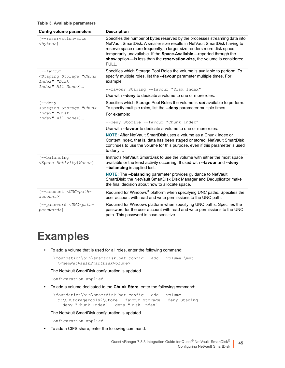#### **Table 3. Available parameters**

| Config volume parameters                                                                                                     | <b>Description</b>                                                                                                                                                                                                                                                                                                                                                                                                                   |
|------------------------------------------------------------------------------------------------------------------------------|--------------------------------------------------------------------------------------------------------------------------------------------------------------------------------------------------------------------------------------------------------------------------------------------------------------------------------------------------------------------------------------------------------------------------------------|
| [--reservation-size<br>$<$ bytes $>$ ]                                                                                       | Specifies the number of bytes reserved by the processes streaming data into<br>NetVault SmartDisk. A smaller size results in NetVault SmartDisk having to<br>reserve space more frequently; a larger size renders more disk space<br>temporarily unavailable. If the Space. Available-reported through the<br>show option-is less than the reservation-size, the volume is considered<br>FULL.                                       |
| $[- -$ favour<br><staging storage  "chunk<br="">Index"   "Disk<br/><math>Index'' All None\rangle] </math></staging storage > | Specifies which Storage Pool Roles the volume is available to perform. To<br>specify multiple roles, list the --favour parameter multiple times. For<br>example:<br>--favour Staging --favour "Disk Index"                                                                                                                                                                                                                           |
|                                                                                                                              | Use with --deny to dedicate a volume to one or more roles.                                                                                                                                                                                                                                                                                                                                                                           |
| $[--\text{deny}]$<br><staging storage  "chunk<br="">Index"  "Disk<br/>Index"   All   None&gt;]</staging storage >            | Specifies which Storage Pool Roles the volume is not available to perform.<br>To specify multiple roles, list the --deny parameter multiple times.<br>For example:<br>--deny Storage --favour "Chunk Index"<br>Use with --favour to dedicate a volume to one or more roles.<br><b>NOTE:</b> After NetVault SmartDisk uses a volume as a Chunk Index or<br>Content Index, that is, data has been staged or stored, NetVault SmartDisk |
|                                                                                                                              | continues to use the volume for this purpose, even if this parameter is used<br>to deny it.                                                                                                                                                                                                                                                                                                                                          |
| [--balancing<br><space activity none>]</space activity none>                                                                 | Instructs NetVault SmartDisk to use the volume with either the most space<br>available or the least activity occurring. If used with --favour and --deny,<br>--balancing is applied last.                                                                                                                                                                                                                                            |
|                                                                                                                              | <b>NOTE:</b> The --balancing parameter provides guidance to NetVault<br>SmartDisk; the NetVault SmartDisk Disk Manager and Deduplicator make<br>the final decision about how to allocate space.                                                                                                                                                                                                                                      |
| [--account <unc-path-<br><math>account</math>)</unc-path-<br>                                                                | Required for Windows <sup>®</sup> platform when specifying UNC paths. Specifies the<br>user account with read and write permissions to the UNC path.                                                                                                                                                                                                                                                                                 |
| [--password <unc-path-<br>password&gt;]</unc-path-<br>                                                                       | Required for Windows platform when specifying UNC paths. Specifies the<br>password for the user account with read and write permissions to the UNC<br>path. This password is case-sensitive.                                                                                                                                                                                                                                         |

## <span id="page-44-0"></span>**Examples**

**•** To add a volume that is used for all roles, enter the following command:

```
…\foundation\bin\smartdisk.bat config --add --volume \mnt 
  \<newNetVaultSmartDiskVolume>
```
The NetVault SmartDisk configuration is updated.

Configuration applied

**•** To add a volume dedicated to the **Chunk Store**, enter the following command:

```
…\foundation\bin\smartdisk.bat config --add --volume 
  c:\SDStoragePools2\Store --favour Storage --deny Staging 
  --deny "Chunk Index" --deny "Disk Index"
```
The NetVault SmartDisk configuration is updated.

Configuration applied

**•** To add a CIFS share, enter the following command: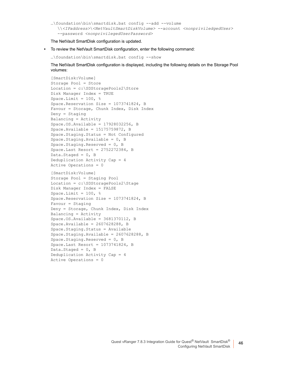```
…\foundation\bin\smartdisk.bat config --add --volume 
  \\<IPaddress>\<NetVaultSmartDiskVolume> --account <nonpriviledgedUser> 
  --password <nonprivilegedUserPassword>
```
The NetVault SmartDisk configuration is updated.

**•** To review the NetVault SmartDisk configuration, enter the following command:

…\foundation\bin\smartdisk.bat config --show

The NetVault SmartDisk configuration is displayed, including the following details on the Storage Pool volumes:

```
[SmartDisk:Volume]
Storage Pool = Store
Location = c:\SDStoragePools2\Store
Disk Manager Index = TRUE
Space.Limit = 100, %Space.Reservation Size = 1073741824, B
Favour = Storage, Chunk Index, Disk Index
Deny = Staging
Balancing = Activity
Space.OS.Available = 17928032256, B
Space.Available = 15175759872, B
Space.Staging.Status = Not Configured
Space.Staging.Available = 0, B
Space.Staging.Reserved = 0, B
Space.Last Resort = 2752272384, B
Data.Staged = 0, BDeduplication Activity Cap = 4
Active Operations = 0
[SmartDisk:Volume]
Storage Pool = Staging Pool
Location = c:\SDStoragePools2\Stage
Disk Manager Index = FALSE
Space.Limit = 100, %Space.Reservation Size = 1073741824, B
Favour = Staging
Deny = Storage, Chunk Index, Disk Index
Balancing = Activity
```
Space.OS.Available = 3681370112, B Space.Available = 2607628288, B Space.Staging.Status = Available

Space.Staging.Reserved = 0, B Space.Last Resort = 1073741824, B

Deduplication Activity Cap = 4

Data.Staged =  $0, B$ 

Active Operations = 0

Space.Staging.Available = 2607628288, B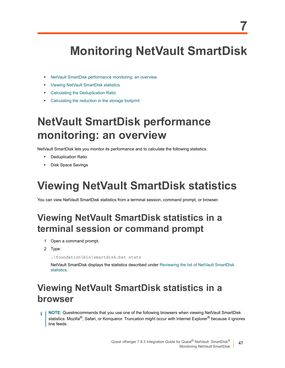# <span id="page-46-0"></span>**Monitoring NetVault SmartDisk**

**7**

- **•** [NetVault SmartDisk performance mon](#page-46-2)itoring: an overview
- **•** [Viewing NetVault SmartDisk statistic](#page-50-0)s
- **•** [Calculating the Deduplication Ratio](#page-50-1)
- <span id="page-46-1"></span>**•** Calculating the reduction in the storage footprint

## **NetVault SmartDisk performance monitoring: an overview**

NetVault SmartDisk lets you monitor its performance and to calculate the following statistics:

- **•** Deduplication Ratio
- <span id="page-46-4"></span><span id="page-46-2"></span>**•** Disk Space Savings

# **Viewing NetVault SmartDisk statistics**

<span id="page-46-3"></span>You can view NetVault SmartDisk statistics from a terminal session, command prompt, or browser.

## **Viewing NetVault SmartDisk statistics in a terminal session or command prompt**

- 1 Open a command prompt.
- 2 Type:

[…\found](#page-47-0)ation\bin\smartdisk.bat stats

NetVault SmartDisk displays the statistics described under Reviewing the list of NetVault SmartDisk statistics.

## **Viewing NetVault SmartDisk statistics in a browser**

**NOTE:** Questrecommends that you use one of the following browsers when viewing NetVault SmartDisk statistics: Mozilla<sup>®</sup>, Safari, or Konqueror. Truncation might occur with Internet Explorer<sup>®</sup> because it ignores line feeds.

> Quest vRanger 7.8.3 Integration Guide for Quest<sup>®</sup> NetVault SmartDisk® Monitoring NetVault SmartDisk **47**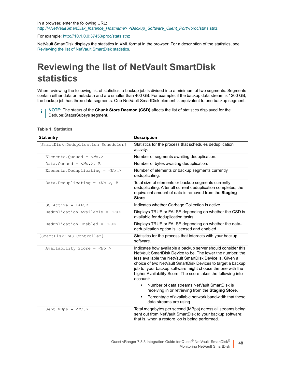In a browser, enter the following URL: http://*<NetVaultSmartDisk\_Instance\_Hostname>*:*<Backup\_Software\_Client\_Port>*/proc/stats.stnz

[For example: http: // 10.1.0.0:37453/proc/stats.stnz](#page-47-0)

<span id="page-47-0"></span>NetVault SmartDisk displays the statistics in XML format in the browser. For a description of the statistics, see Reviewing the list of NetVault SmartDisk statistics.

## **Reviewing the list of NetVault SmartDisk statistics**

When reviewing the following list of statistics, a backup job is divided into a minimum of two segments: Segments contain either data or metadata and are smaller than 400 GB. For example, if the backup data stream is 1200 GB, the backup job has three data segments. One NetVault SmartDisk element is equivalent to one backup segment.

**NOTE:** The status of the **Chunk Store Daemon (CSD)** affects the list of statistics displayed for the ÷ Dedupe:StatusSubsys segment.

| <b>Stat entry</b>                        | <b>Description</b>                                                                                                                                                                                                                                                                                                                                                                               |  |
|------------------------------------------|--------------------------------------------------------------------------------------------------------------------------------------------------------------------------------------------------------------------------------------------------------------------------------------------------------------------------------------------------------------------------------------------------|--|
| [SmartDisk:Deduplication Scheduler]      | Statistics for the process that schedules deduplication<br>activity.                                                                                                                                                                                                                                                                                                                             |  |
| Elements. Queued = $\langle No. \rangle$ | Number of segments awaiting deduplication.                                                                                                                                                                                                                                                                                                                                                       |  |
| Data. Queued = $), B$                    | Number of bytes awaiting deduplication.                                                                                                                                                                                                                                                                                                                                                          |  |
| Elements. Deduplicating = $<\!>No.>$     | Number of elements or backup segments currently<br>deduplicating.                                                                                                                                                                                                                                                                                                                                |  |
| Data.Deduplicating = $<\No.$ ), B        | Total size of elements or backup segments currently<br>deduplicating. After all current deduplication completes, the<br>equivalent amount of data is removed from the Staging<br>Store.                                                                                                                                                                                                          |  |
| GC Active = FALSE                        | Indicates whether Garbage Collection is active.                                                                                                                                                                                                                                                                                                                                                  |  |
| Deduplication Available = TRUE           | Displays TRUE or FALSE depending on whether the CSD is<br>available for deduplication tasks.                                                                                                                                                                                                                                                                                                     |  |
| Deduplication Enabled = TRUE             | Displays TRUE or FALSE depending on whether the data-<br>deduplication option is licensed and enabled.                                                                                                                                                                                                                                                                                           |  |
| [SmartDisk:RAS Controller]               | Statistics for the process that interacts with your backup<br>software.                                                                                                                                                                                                                                                                                                                          |  |
| Availability Score = $<\!\!No.\!>$       | Indicates how available a backup server should consider this<br>NetVault SmartDisk Device to be. The lower the number, the<br>less available the NetVault SmartDisk Device is. Given a<br>choice of two NetVault SmartDisk Devices to target a backup<br>job to, your backup software might choose the one with the<br>higher Availability Score. The score takes the following into<br>account: |  |
|                                          | Number of data streams NetVault SmartDisk is<br>receiving in or retrieving from the Staging Store.<br>Percentage of available network bandwidth that these<br>$\bullet$<br>data streams are using.                                                                                                                                                                                               |  |
| Sent MBps = $$                           | Total megabytes per second (MBps) across all streams being<br>sent out from NetVault SmartDisk to your backup software;<br>that is, when a restore job is being performed.                                                                                                                                                                                                                       |  |

#### **Table 1. Statistics**

**48**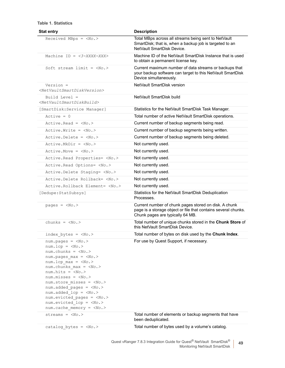#### **Table 1. Statistics**

| <b>Stat entry</b>                                                                                                                                                                                                                                                                         | <b>Description</b>                                                                                                                                          |
|-------------------------------------------------------------------------------------------------------------------------------------------------------------------------------------------------------------------------------------------------------------------------------------------|-------------------------------------------------------------------------------------------------------------------------------------------------------------|
| Received MBps = $<\!\!\textit{No.}$                                                                                                                                                                                                                                                       | Total MBps across all streams being sent to NetVault<br>SmartDisk; that is, when a backup job is targeted to an<br>NetVault SmartDisk Device.               |
| Machine ID = $\langle 3 - XXXX - XXX \rangle$                                                                                                                                                                                                                                             | Machine ID of the NetVault SmartDisk Instance that is used<br>to obtain a permanent license key.                                                            |
| Soft stream limit = $<\N0.>$                                                                                                                                                                                                                                                              | Current maximum number of data streams or backups that<br>your backup software can target to this NetVault SmartDisk<br>Device simultaneously.              |
| Version =<br><netvaultsmartdiskversion></netvaultsmartdiskversion>                                                                                                                                                                                                                        | NetVault SmartDisk version                                                                                                                                  |
| Build Level =<br><netvaultsmartdiskbuild></netvaultsmartdiskbuild>                                                                                                                                                                                                                        | NetVault SmartDisk build                                                                                                                                    |
| [SmartDisk:Service Manager]                                                                                                                                                                                                                                                               | Statistics for the NetVault SmartDisk Task Manager.                                                                                                         |
| $Active = 0$                                                                                                                                                                                                                                                                              | Total number of active NetVault SmartDisk operations.                                                                                                       |
| $Active.Fead = No.$                                                                                                                                                                                                                                                                       | Current number of backup segments being read.                                                                                                               |
| $Active.Write = $                                                                                                                                                                                                                                                                         | Current number of backup segments being written.                                                                                                            |
| $Active. Delete = NO.>$                                                                                                                                                                                                                                                                   | Current number of backup segments being deleted.                                                                                                            |
| $Active.MkDir = No.>$                                                                                                                                                                                                                                                                     | Not currently used.                                                                                                                                         |
| Active. Move = $<\!\!No.\!\!>$                                                                                                                                                                                                                                                            | Not currently used.                                                                                                                                         |
| Active. Read Properties= <no.></no.>                                                                                                                                                                                                                                                      | Not currently used.                                                                                                                                         |
| Active. Read Options= <no.></no.>                                                                                                                                                                                                                                                         | Not currently used.                                                                                                                                         |
| Active. Delete Staging= <no.></no.>                                                                                                                                                                                                                                                       | Not currently used.                                                                                                                                         |
| Active.Delete Rollback= <no.></no.>                                                                                                                                                                                                                                                       | Not currently used.                                                                                                                                         |
| Active.Rollback Element= <no.></no.>                                                                                                                                                                                                                                                      | Not currently used.                                                                                                                                         |
| [Dedupe: StatSubsys]                                                                                                                                                                                                                                                                      | Statistics for the NetVault SmartDisk Deduplication<br>Processes.                                                                                           |
| pages = $$                                                                                                                                                                                                                                                                                | Current number of chunk pages stored on disk. A chunk<br>page is a storage object or file that contains several chunks.<br>Chunk pages are typically 64 MB. |
| chunks = $$                                                                                                                                                                                                                                                                               | Total number of unique chunks stored in the Chunk Store of<br>this NetVault SmartDisk Device.                                                               |
| index bytes = $<\!\!No.\!\!>$                                                                                                                                                                                                                                                             | Total number of bytes on disk used by the Chunk Index.                                                                                                      |
| $num.pages = num.lcp = num.chunks = \langle No. \ranglenum.pages max = <\!>No.num.lcp_max = num.chunks max = <\!\!No.\!\!>num.hits = No.num.missues = num.\,store\,misses = No.num.added pages = <\!\!No.\!\!>num.added_lcp = num.evicted pages = num.evicted lep = num.cache_meanory = $ | For use by Quest Support, if necessary.                                                                                                                     |
| streams = $<\!\!No.\!\!>$                                                                                                                                                                                                                                                                 | Total number of elements or backup segments that have<br>been deduplicated.                                                                                 |
| $catalog_bytes = No.$                                                                                                                                                                                                                                                                     | Total number of bytes used by a volume's catalog.                                                                                                           |

#### Quest vRanger 7.8.3 Integration Guide for Quest® NetVault SmartDisk® Monitoring NetVault SmartDisk

**49**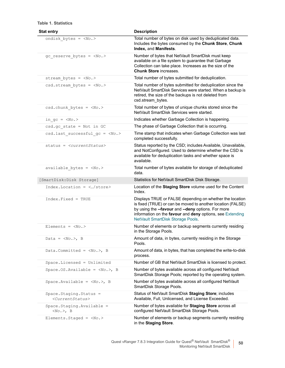| <b>Stat entry</b>                                         | <b>Description</b>                                                                                                                                                                                                                                                              |
|-----------------------------------------------------------|---------------------------------------------------------------------------------------------------------------------------------------------------------------------------------------------------------------------------------------------------------------------------------|
| ondisk_bytes = $<\!\!No.\!\!>$                            | Total number of bytes on disk used by deduplicated data.<br>Includes the bytes consumed by the Chunk Store, Chunk<br>Index, and Manifests.                                                                                                                                      |
| $gc\_reserve_bytes = No.$                                 | Number of bytes that NetVault SmartDisk must keep<br>available on a file system to guarantee that Garbage<br>Collection can take place. Increases as the size of the<br><b>Chunk Store increases.</b>                                                                           |
| stream bytes = $<\!>No.>$                                 | Total number of bytes submitted for deduplication.                                                                                                                                                                                                                              |
| $csd. stream bytes = No.$                                 | Total number of bytes submitted for deduplication since the<br>NetVault SmartDisk Services were started. When a backup is<br>retired, the size of the backups is not deleted from<br>csd.stream bytes.                                                                          |
| $csd.$ chunk bytes = $<\!\!No.\!\!>$                      | Total number of bytes of unique chunks stored since the<br>NetVault SmartDisk Services were started.                                                                                                                                                                            |
| in $gc = No.$                                             | Indicates whether Garbage Collection is happening.                                                                                                                                                                                                                              |
| $csd.gc state = Not in GC$                                | The phase of Garbage Collection that is occurring.                                                                                                                                                                                                                              |
| csd.last_successful_gc = <no.></no.>                      | Time stamp that indicates when Garbage Collection was last<br>completed successfully.                                                                                                                                                                                           |
| $status = $                                               | Status reported by the CSD; includes Available, Unavailable,<br>and NotConfigured. Used to determine whether the CSD is<br>available for deduplication tasks and whether space is<br>available.                                                                                 |
| available bytes = $<\!\!No.\!>$                           | Total number of bytes available for storage of deduplicated<br>data.                                                                                                                                                                                                            |
| [SmartDisk:Disk Storage]                                  | Statistics for NetVault SmartDisk Disk Storage.                                                                                                                                                                                                                                 |
| Index.Location =                                          | Location of the Staging Store volume used for the Content<br>Index.                                                                                                                                                                                                             |
| Index. Fixed = TRUE                                       | Displays TRUE or FALSE depending on whether the location<br>is fixed (TRUE) or can be moved to another location (FALSE)<br>by using the --favour and --deny options. For more<br>information on the favour and deny options, see Extending<br>NetVault SmartDisk Storage Pools. |
| Elements = $$                                             | Number of elements or backup segments currently residing<br>in the Storage Pools.                                                                                                                                                                                               |
| Data = $<\!No.>$ , B                                      | Amount of data, in bytes, currently residing in the Storage<br>Pools.                                                                                                                                                                                                           |
| Data.Committed = $<\!>No.>$ , B                           | Amount of data, in bytes, that has completed the write-to-disk<br>process.                                                                                                                                                                                                      |
| Space.Licensed = Unlimited                                | Number of GB that NetVault SmartDisk is licensed to protect.                                                                                                                                                                                                                    |
| Space. OS. Available = $<\!>No.$ >, B                     | Number of bytes available across all configured NetVault<br>SmartDisk Storage Pools; reported by the operating system.                                                                                                                                                          |
| Space. Available = $<\!>No.$ >, B                         | Number of bytes available across all configured NetVault<br>SmartDisk Storage Pools.                                                                                                                                                                                            |
| Space.Staging.Status =<br><currentstatus></currentstatus> | Status of NetVault SmartDisk Staging Store; includes<br>Available, Full, Unlicensed, and License Exceeded.                                                                                                                                                                      |
| Space.Staging.Available =<br>$, B$                        | Number of bytes available for Staging Store across all<br>configured NetVault SmartDisk Storage Pools.                                                                                                                                                                          |
| Elements. Staged = $<\!>No.>$                             | Number of elements or backup segments currently residing<br>in the Staging Store.                                                                                                                                                                                               |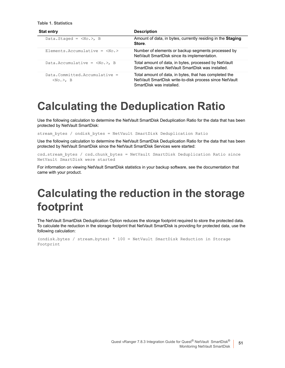**Table 1. Statistics**

| <b>Stat entry</b>                              | <b>Description</b>                                                                                                                            |  |
|------------------------------------------------|-----------------------------------------------------------------------------------------------------------------------------------------------|--|
| Data.Staged = $, B$                            | Amount of data, in bytes, currently residing in the Staging<br>Store.                                                                         |  |
| Elements. Accumulative = $\langle No. \rangle$ | Number of elements or backup segments processed by<br>NetVault SmartDisk since its implementation.                                            |  |
| Data. Accumulative = $), B$                    | Total amount of data, in bytes, processed by NetVault<br>SmartDisk since NetVault SmartDisk was installed.                                    |  |
| $Data. Committee. Accuracy =$<br>$, B$         | Total amount of data, in bytes, that has completed the<br>NetVault SmartDisk write-to-disk process since NetVault<br>SmartDisk was installed. |  |

## <span id="page-50-0"></span>**Calculating the Deduplication Ratio**

Use the following calculation to determine the NetVault SmartDisk Deduplication Ratio for the data that has been protected by NetVault SmartDisk:

stream\_bytes / ondisk\_bytes = NetVault SmartDisk Deduplication Ratio

Use the following calculation to determine the NetVault SmartDisk Deduplication Ratio for the data that has been protected by NetVault SmartDisk since the NetVault SmartDisk Services were started:

```
csd.stream_bytes / csd.chunk_bytes = NetVault SmartDisk Deduplication Ratio since 
NetVault SmartDisk were started
```
For information on viewing NetVault SmartDisk statistics in your backup software, see the documentation that came with your product.

## <span id="page-50-1"></span>**Calculating the reduction in the storage footprint**

The NetVault SmartDisk Deduplication Option reduces the storage footprint required to store the protected data. To calculate the reduction in the storage footprint that NetVault SmartDisk is providing for protected data, use the following calculation:

```
(ondisk.bytes / stream.bytes) * 100 = NetVault SmartDisk Reduction in Storage 
Footprint
```